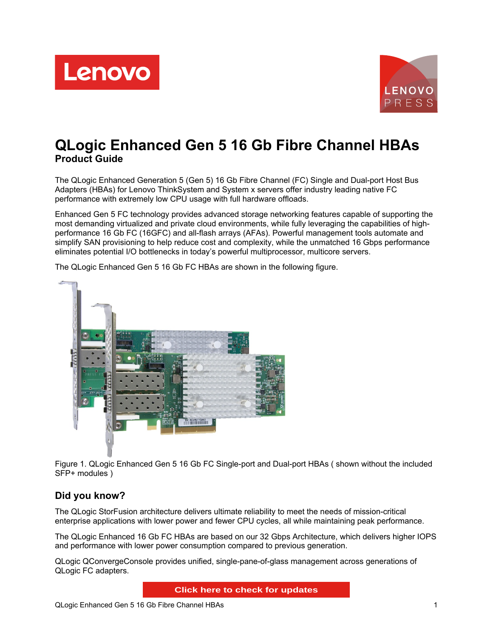



# **QLogic Enhanced Gen 5 16 Gb Fibre Channel HBAs Product Guide**

The QLogic Enhanced Generation 5 (Gen 5) 16 Gb Fibre Channel (FC) Single and Dual-port Host Bus Adapters (HBAs) for Lenovo ThinkSystem and System x servers offer industry leading native FC performance with extremely low CPU usage with full hardware offloads.

Enhanced Gen 5 FC technology provides advanced storage networking features capable of supporting the most demanding virtualized and private cloud environments, while fully leveraging the capabilities of highperformance 16 Gb FC (16GFC) and all-flash arrays (AFAs). Powerful management tools automate and simplify SAN provisioning to help reduce cost and complexity, while the unmatched 16 Gbps performance eliminates potential I/O bottlenecks in today's powerful multiprocessor, multicore servers.

The QLogic Enhanced Gen 5 16 Gb FC HBAs are shown in the following figure.



Figure 1. QLogic Enhanced Gen 5 16 Gb FC Single-port and Dual-port HBAs ( shown without the included SFP+ modules )

## **Did you know?**

The QLogic StorFusion architecture delivers ultimate reliability to meet the needs of mission-critical enterprise applications with lower power and fewer CPU cycles, all while maintaining peak performance.

The QLogic Enhanced 16 Gb FC HBAs are based on our 32 Gbps Architecture, which delivers higher IOPS and performance with lower power consumption compared to previous generation.

QLogic QConvergeConsole provides unified, single-pane-of-glass management across generations of QLogic FC adapters.

**Click here to check for updates**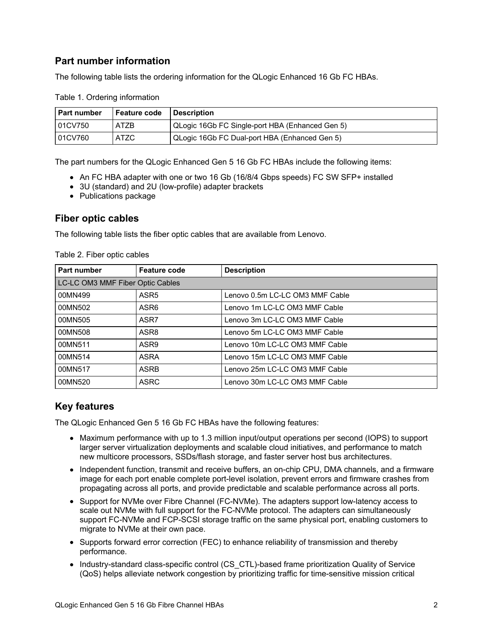## **Part number information**

The following table lists the ordering information for the QLogic Enhanced 16 Gb FC HBAs.

| I Part number | l Feature code | <b>Description</b>                              |
|---------------|----------------|-------------------------------------------------|
| 101CV750      | <b>ATZB</b>    | QLogic 16Gb FC Single-port HBA (Enhanced Gen 5) |
| 01CV760       | ATZC           | QLogic 16Gb FC Dual-port HBA (Enhanced Gen 5)   |

Table 1. Ordering information

The part numbers for the QLogic Enhanced Gen 5 16 Gb FC HBAs include the following items:

- An FC HBA adapter with one or two 16 Gb (16/8/4 Gbps speeds) FC SW SFP+ installed
- 3U (standard) and 2U (low-profile) adapter brackets
- Publications package

## **Fiber optic cables**

The following table lists the fiber optic cables that are available from Lenovo.

| Part number                      | <b>Feature code</b> | <b>Description</b>              |
|----------------------------------|---------------------|---------------------------------|
| LC-LC OM3 MMF Fiber Optic Cables |                     |                                 |
| 00MN499                          | ASR <sub>5</sub>    | Lenovo 0.5m LC-LC OM3 MMF Cable |
| 00MN502                          | ASR <sub>6</sub>    | Lenovo 1m LC-LC OM3 MMF Cable   |
| 00MN505                          | ASR7                | Lenovo 3m LC-LC OM3 MMF Cable   |
| 00MN508                          | ASR8                | Lenovo 5m LC-LC OM3 MMF Cable   |
| 00MN511                          | ASR <sub>9</sub>    | Lenovo 10m LC-LC OM3 MMF Cable  |
| 00MN514                          | <b>ASRA</b>         | Lenovo 15m LC-LC OM3 MMF Cable  |
| 00MN517                          | <b>ASRB</b>         | Lenovo 25m LC-LC OM3 MMF Cable  |
| 00MN520                          | <b>ASRC</b>         | Lenovo 30m LC-LC OM3 MMF Cable  |

Table 2. Fiber optic cables

## **Key features**

The QLogic Enhanced Gen 5 16 Gb FC HBAs have the following features:

- Maximum performance with up to 1.3 million input/output operations per second (IOPS) to support larger server virtualization deployments and scalable cloud initiatives, and performance to match new multicore processors, SSDs/flash storage, and faster server host bus architectures.
- Independent function, transmit and receive buffers, an on-chip CPU, DMA channels, and a firmware image for each port enable complete port-level isolation, prevent errors and firmware crashes from propagating across all ports, and provide predictable and scalable performance across all ports.
- Support for NVMe over Fibre Channel (FC-NVMe). The adapters support low-latency access to scale out NVMe with full support for the FC-NVMe protocol. The adapters can simultaneously support FC-NVMe and FCP-SCSI storage traffic on the same physical port, enabling customers to migrate to NVMe at their own pace.
- Supports forward error correction (FEC) to enhance reliability of transmission and thereby performance.
- Industry-standard class-specific control (CS\_CTL)-based frame prioritization Quality of Service (QoS) helps alleviate network congestion by prioritizing traffic for time-sensitive mission critical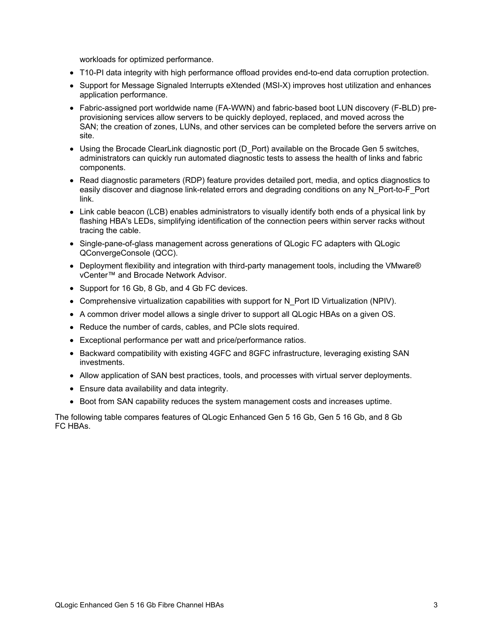workloads for optimized performance.

- T10-PI data integrity with high performance offload provides end-to-end data corruption protection.
- Support for Message Signaled Interrupts eXtended (MSI-X) improves host utilization and enhances application performance.
- Fabric-assigned port worldwide name (FA-WWN) and fabric-based boot LUN discovery (F-BLD) preprovisioning services allow servers to be quickly deployed, replaced, and moved across the SAN; the creation of zones, LUNs, and other services can be completed before the servers arrive on site.
- Using the Brocade ClearLink diagnostic port (D Port) available on the Brocade Gen 5 switches, administrators can quickly run automated diagnostic tests to assess the health of links and fabric components.
- Read diagnostic parameters (RDP) feature provides detailed port, media, and optics diagnostics to easily discover and diagnose link-related errors and degrading conditions on any N\_Port-to-F\_Port link.
- Link cable beacon (LCB) enables administrators to visually identify both ends of a physical link by flashing HBA's LEDs, simplifying identification of the connection peers within server racks without tracing the cable.
- Single-pane-of-glass management across generations of QLogic FC adapters with QLogic QConvergeConsole (QCC).
- Deployment flexibility and integration with third-party management tools, including the VMware® vCenter™ and Brocade Network Advisor.
- Support for 16 Gb, 8 Gb, and 4 Gb FC devices.
- Comprehensive virtualization capabilities with support for N\_Port ID Virtualization (NPIV).
- A common driver model allows a single driver to support all QLogic HBAs on a given OS.
- Reduce the number of cards, cables, and PCIe slots required.
- Exceptional performance per watt and price/performance ratios.
- Backward compatibility with existing 4GFC and 8GFC infrastructure, leveraging existing SAN investments.
- Allow application of SAN best practices, tools, and processes with virtual server deployments.
- Ensure data availability and data integrity.
- Boot from SAN capability reduces the system management costs and increases uptime.

The following table compares features of QLogic Enhanced Gen 5 16 Gb, Gen 5 16 Gb, and 8 Gb FC HBAs.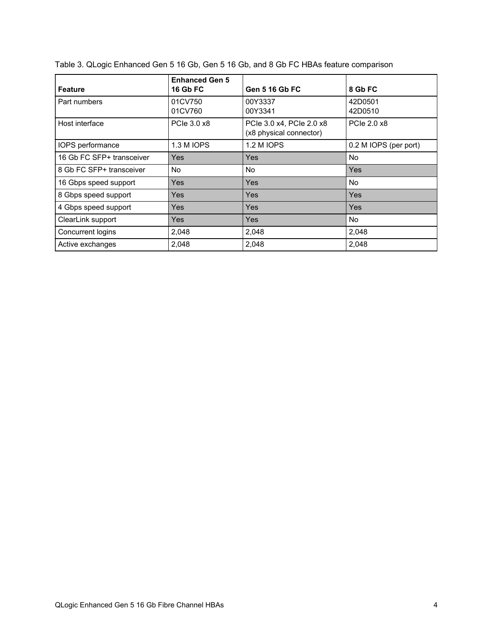| <b>Feature</b>            | <b>Enhanced Gen 5</b><br><b>16 Gb FC</b> | <b>Gen 5 16 Gb FC</b>                               | 8 Gb FC               |
|---------------------------|------------------------------------------|-----------------------------------------------------|-----------------------|
| Part numbers              | 01CV750<br>01CV760                       | 00Y3337<br>00Y3341                                  | 42D0501<br>42D0510    |
| Host interface            | PCIe 3.0 x8                              | PCle 3.0 x4, PCle 2.0 x8<br>(x8 physical connector) | PCle 2.0 x8           |
| IOPS performance          | 1.3 M IOPS                               | 1.2 M IOPS                                          | 0.2 M IOPS (per port) |
| 16 Gb FC SFP+ transceiver | Yes                                      | Yes                                                 | No.                   |
| 8 Gb FC SFP+ transceiver  | No.                                      | No.                                                 | Yes                   |
| 16 Gbps speed support     | Yes                                      | Yes                                                 | No.                   |
| 8 Gbps speed support      | Yes                                      | Yes                                                 | <b>Yes</b>            |
| 4 Gbps speed support      | Yes                                      | Yes                                                 | Yes                   |
| ClearLink support         | Yes                                      | <b>Yes</b>                                          | No.                   |
| Concurrent logins         | 2,048                                    | 2,048                                               | 2,048                 |
| Active exchanges          | 2,048                                    | 2,048                                               | 2,048                 |

| Table 3. QLogic Enhanced Gen 5 16 Gb, Gen 5 16 Gb, and 8 Gb FC HBAs feature comparison |  |  |  |
|----------------------------------------------------------------------------------------|--|--|--|
|----------------------------------------------------------------------------------------|--|--|--|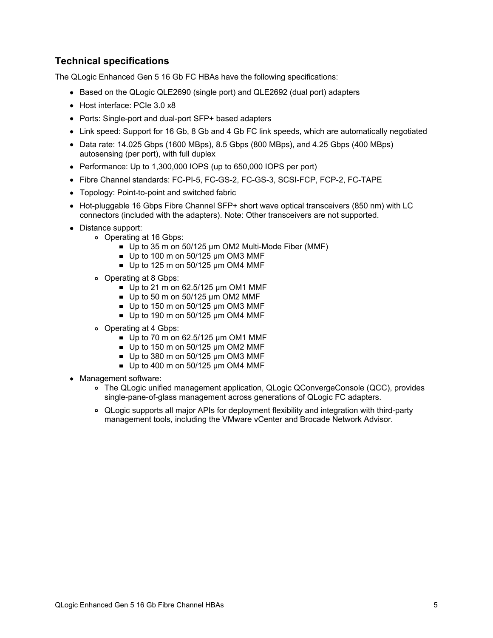## **Technical specifications**

The QLogic Enhanced Gen 5 16 Gb FC HBAs have the following specifications:

- Based on the QLogic QLE2690 (single port) and QLE2692 (dual port) adapters
- Host interface: PCIe 3.0 x8
- Ports: Single-port and dual-port SFP+ based adapters
- Link speed: Support for 16 Gb, 8 Gb and 4 Gb FC link speeds, which are automatically negotiated
- $\bullet$  Data rate: 14.025 Gbps (1600 MBps), 8.5 Gbps (800 MBps), and 4.25 Gbps (400 MBps) autosensing (per port), with full duplex
- Performance: Up to 1,300,000 IOPS (up to 650,000 IOPS per port)
- Fibre Channel standards: FC-PI-5, FC-GS-2, FC-GS-3, SCSI-FCP, FCP-2, FC-TAPE
- Topology: Point-to-point and switched fabric
- Hot-pluggable 16 Gbps Fibre Channel SFP+ short wave optical transceivers (850 nm) with LC connectors (included with the adapters). Note: Other transceivers are not supported.
- Distance support:
	- Operating at 16 Gbps:
		- Up to 35 m on 50/125 µm OM2 Multi-Mode Fiber (MMF)
		- $\blacksquare$  Up to 100 m on 50/125 µm OM3 MMF
		- $\blacksquare$  Up to 125 m on 50/125 µm OM4 MMF
	- Operating at 8 Gbps:
		- Up to 21 m on  $62.5/125$  µm OM1 MMF
		- $\blacksquare$  Up to 50 m on 50/125 µm OM2 MMF
		- $\blacksquare$  Up to 150 m on 50/125 µm OM3 MMF
		- $\blacksquare$  Up to 190 m on 50/125 µm OM4 MMF
	- Operating at 4 Gbps:
		- $\blacksquare$  Up to 70 m on 62.5/125 µm OM1 MMF
		- $\blacksquare$  Up to 150 m on 50/125 um OM2 MMF
		- $\blacksquare$  Up to 380 m on 50/125 µm OM3 MMF
		- Up to 400 m on 50/125 um OM4 MMF
- Management software:
	- The QLogic unified management application, QLogic QConvergeConsole (QCC), provides single-pane-of-glass management across generations of QLogic FC adapters.
	- QLogic supports all major APIs for deployment flexibility and integration with third-party management tools, including the VMware vCenter and Brocade Network Advisor.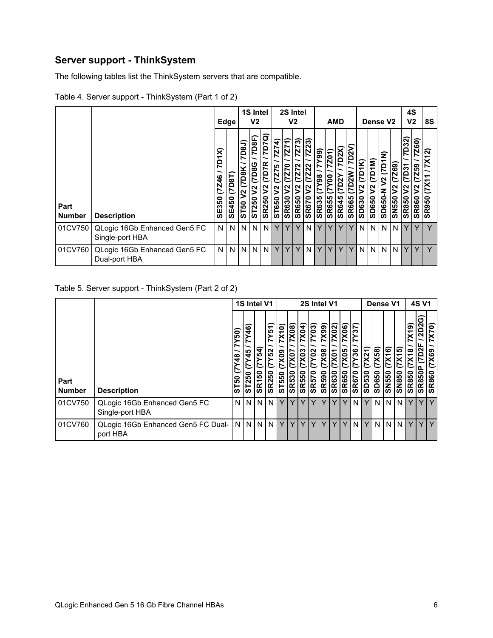# **Server support - ThinkSystem**

The following tables list the ThinkSystem servers that are compatible.

| Table 4. Server support - ThinkSystem (Part 1 of 2) |  |
|-----------------------------------------------------|--|
|                                                     |  |

|                       |                                                 |                          | 1S Intel<br>V <sub>2</sub><br>Edge |                                         |                                        |                                                | 2S Intel<br>V2                |                                        |                                     |                                               | <b>AMD</b>                                         |                                                      |                                                                 |                                   |                        | Dense V <sub>2</sub> |                                        | 4S<br>V <sub>2</sub>        | 8S                                               |                              |                                                |
|-----------------------|-------------------------------------------------|--------------------------|------------------------------------|-----------------------------------------|----------------------------------------|------------------------------------------------|-------------------------------|----------------------------------------|-------------------------------------|-----------------------------------------------|----------------------------------------------------|------------------------------------------------------|-----------------------------------------------------------------|-----------------------------------|------------------------|----------------------|----------------------------------------|-----------------------------|--------------------------------------------------|------------------------------|------------------------------------------------|
| Part<br><b>Number</b> | <b>Description</b>                              | 7D1X)<br>(7246)<br>SE350 | (TBQT)<br>SE450                    | 7D8J)<br>(7D8K<br>$\sim$<br><b>ST50</b> | 7D8F)<br><b>D8G</b><br>r<br>ς<br>ST250 | 7D7Q)<br>(7D7R<br>$\mathtt{S}$<br><b>SR250</b> | Z74<br>Z75<br>ヒ<br>2<br>ST650 | ╤<br>7Z7<br>(7270<br>2<br><b>SR630</b> | 7273<br>(7272)<br>2<br><b>SR650</b> | 7Z23)<br><b>Z22</b><br>ヒ<br>Š<br><b>SR670</b> | (66AZ<br>$\overline{\frac{86}{1}}$<br><b>SR635</b> | $\overline{7201}$<br><b>DOX</b><br>က<br><b>SR655</b> | D <sub>2</sub> X)<br>$\boldsymbol{\alpha}$<br>≏<br><b>SR645</b> | ัง<br>5<br>ŠΜ<br>ທ<br><b>SR66</b> | ⊻<br>5<br><b>OE90S</b> | ε<br>≏<br>느<br>SD650 | E<br>$\overline{1}$<br>N<br>z<br>SD650 | (7269)<br>Š<br><b>SN550</b> | 7D32)<br>D31<br>ヒ<br>$\mathbf S$<br><b>SR850</b> | 7260)<br>Z59<br><b>SR860</b> | $\tilde{\mathbf{N}}$<br>᠇<br>X<br><b>SR950</b> |
| 01CV750               | QLogic 16Gb Enhanced Gen5 FC<br>Single-port HBA | N                        | N                                  | N                                       | N.                                     | N                                              | Υ                             |                                        |                                     | N                                             |                                                    |                                                      |                                                                 | $\check{ }$                       | N                      | N                    | N                                      | ıN.                         | Y                                                | v                            | $\checkmark$                                   |
| 01CV760               | QLogic 16Gb Enhanced Gen5 FC<br>Dual-port HBA   | N                        | N                                  | N.                                      | N.                                     | N                                              | Y                             | Υ                                      | Υ                                   | N                                             | $\checkmark$                                       |                                                      | $\checkmark$                                                    | ٧                                 | N                      | N                    | N                                      | 1N                          | Y                                                | Υ                            | $\vee$                                         |

#### Table 5. Server support - ThinkSystem (Part 2 of 2)

|                       |                                                 |                                                                          | 1S Intel V1                         |                              |                                                             | 2S Intel V1                        |                                      |                                   |                                            |                                           |                               |                              | Dense V1                                |                             |                | <b>4S V1</b>                     |                                 |                             |                        |                                     |
|-----------------------|-------------------------------------------------|--------------------------------------------------------------------------|-------------------------------------|------------------------------|-------------------------------------------------------------|------------------------------------|--------------------------------------|-----------------------------------|--------------------------------------------|-------------------------------------------|-------------------------------|------------------------------|-----------------------------------------|-----------------------------|----------------|----------------------------------|---------------------------------|-----------------------------|------------------------|-------------------------------------|
| Part<br><b>Number</b> | <b>Description</b>                              | $\overline{50}$<br>N<br>$\frac{8}{4}$<br>r<br><b>ვ</b><br>⊢<br><b>in</b> | <u>දි</u><br>$\frac{5}{4}$<br>ST250 | $\mathbf{z}$<br><b>SR150</b> | $\overline{51}$<br>ξ<br>52<br>R250<br>$\boldsymbol{\omega}$ | 7X10)<br>X <sub>0</sub> g<br>ST550 | 7X08)<br><b>7X07</b><br><b>SR530</b> | 7X04)<br>7X03<br>550<br><u>ဇိ</u> | <b>7Y03)</b><br><b>20)</b><br><b>SR570</b> | $\overline{7X99}$<br>86XZ<br><b>SR590</b> | 7X02)<br>7X01<br><b>SR630</b> | 7X06)<br>X05<br><b>SR650</b> | 37<br>$\geq$<br>36<br>Ľ<br><b>SR670</b> | <b>7X21</b><br><b>SD530</b> | (X58)<br>SD650 | $\overline{X16}$<br><b>SN550</b> | ົດ<br>$\bar{x}$<br><b>SN850</b> | (61)<br>X18<br><b>SR850</b> | 2D2G)<br>7D2F<br>SR850 | 7X70)<br><b>X69</b><br><b>SR860</b> |
| 01CV750               | QLogic 16Gb Enhanced Gen5 FC<br>Single-port HBA | N                                                                        | N <sub>1</sub>                      | N <sub>1</sub>               | N                                                           | Y                                  | $\vee$                               | v                                 | Y                                          | Y                                         | Y                             | Y                            | N                                       |                             | N              | N I                              | N                               | Y                           |                        | YIY                                 |
| 01CV760               | QLogic 16Gb Enhanced Gen5 FC Dual-<br>port HBA  |                                                                          | <b>NNNN</b>                         |                              |                                                             | Y                                  | Y                                    | Y                                 |                                            | Y                                         |                               | Y                            | N                                       |                             |                |                                  | N N N                           | Y                           |                        | YY                                  |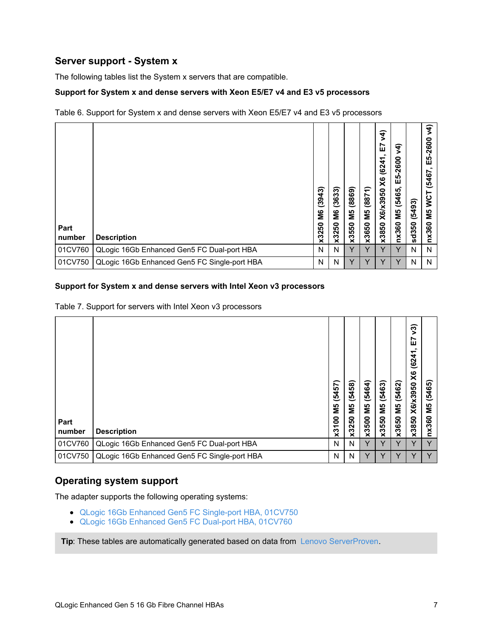## **Server support - System x**

The following tables list the System x servers that are compatible.

#### **Support for System x and dense servers with Xeon E5/E7 v4 and E3 v5 processors**

Table 6. Support for System x and dense servers with Xeon E5/E7 v4 and E3 v5 processors

| Part<br>number | <b>Description</b>                           | ౚ<br>(394.<br>S۵<br>ន<br>$\mathbf{\Omega}$<br>ૹ | (3633)<br>ŠМ<br>250<br>$\mathbf{\hat{z}}$ | (8869)<br>5M<br>x3550 | ÷<br>(887)<br>ΣМ<br>x3650 | λ4)<br>∼<br>ш<br>(6241)<br>$\times$<br>X6/x3950<br>x3850 | र्र<br>$-2600$<br><u> ဟု</u><br>ш<br>(5465)<br>ΣM<br>nx360 | (5493)<br>sd350 | $\widetilde{4}$<br>$-2600$<br>ပြု<br>(5467<br><b>VCT</b><br>М5<br>nx360 |
|----------------|----------------------------------------------|-------------------------------------------------|-------------------------------------------|-----------------------|---------------------------|----------------------------------------------------------|------------------------------------------------------------|-----------------|-------------------------------------------------------------------------|
| 01CV760        | QLogic 16Gb Enhanced Gen5 FC Dual-port HBA   | N                                               | N                                         | Y                     | Y                         | Y                                                        | Y                                                          | N               | N                                                                       |
| 01CV750        | QLogic 16Gb Enhanced Gen5 FC Single-port HBA | N                                               | N                                         | v                     | v                         | v                                                        | v                                                          | N               | N                                                                       |

#### **Support for System x and dense servers with Intel Xeon v3 processors**

Table 7. Support for servers with Intel Xeon v3 processors

| Part<br>number | <b>Description</b>                           | (5457)<br>ΜS<br>g<br>x31 | (5458)<br>ЯM<br>М<br>x3250 | (5464)<br>ΜS<br>x3500 | (5463)<br>М5<br>x3550 | (5462)<br>М5<br>x3650 | ିଏ<br>ଜ<br>Ŀ<br>(6241)<br>x3850 X6/x3950 X6 | 5465)<br>Μ5<br>nx360 |
|----------------|----------------------------------------------|--------------------------|----------------------------|-----------------------|-----------------------|-----------------------|---------------------------------------------|----------------------|
| 01CV760        | QLogic 16Gb Enhanced Gen5 FC Dual-port HBA   | N                        | N                          |                       |                       |                       | $\checkmark$                                |                      |
| 01CV750        | QLogic 16Gb Enhanced Gen5 FC Single-port HBA | N                        | N                          | v                     | v                     | v                     | v                                           |                      |

## **Operating system support**

The adapter supports the following operating systems:

- QLogic 16Gb Enhanced Gen5 FC [Single-port](#page-10-0) HBA, 01CV750
- QLogic 16Gb [Enhanced](#page-17-0) Gen5 FC Dual-port HBA, 01CV760

**Tip:** These tables are automatically generated based on data from Lenovo [ServerProven](https://www.lenovo.com/us/en/serverproven/).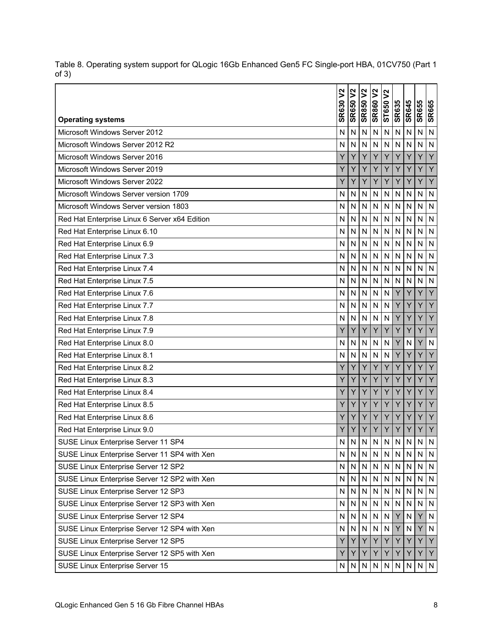|                                               | $\mathbf{S}$<br><b>SR630</b> | <b>SR650 V2</b>         | <b>SR850V2</b> | <b>SR860V2</b>          | $\overline{v}$ |              |                    |              |                         |
|-----------------------------------------------|------------------------------|-------------------------|----------------|-------------------------|----------------|--------------|--------------------|--------------|-------------------------|
| <b>Operating systems</b>                      |                              |                         |                |                         | ST650          | <b>SR635</b> | <b>SR645</b>       | <b>SR655</b> | <b>SR665</b>            |
| Microsoft Windows Server 2012                 | N                            | N                       | N              | $\overline{N}$          | $\mathsf{N}$   | N            | N                  | N            | $\overline{N}$          |
| Microsoft Windows Server 2012 R2              | N                            | N                       | N              | N                       | N              | N            | N                  | N            | $\overline{N}$          |
| Microsoft Windows Server 2016                 | Y                            | Ÿ                       | Y              | Y                       | Y              | Y            | Ÿ                  | Ÿ            | Y                       |
| Microsoft Windows Server 2019                 | Y                            | Y                       | Y              | Y                       | Y              | Y            | Y                  | Y            | Y                       |
| Microsoft Windows Server 2022                 | Υ                            | Y                       | Y              | Y                       | Y              | Y            | Y                  | Ý            | Y                       |
| Microsoft Windows Server version 1709         | N                            | N                       | N              | $\mathsf{N}$            | $\mathsf{N}$   | N            | $\mathsf{N}$       | N            | ${\sf N}$               |
| Microsoft Windows Server version 1803         | N                            | N                       | N              | $\overline{N}$          | N              | N            | N                  | N            | $\overline{\mathsf{N}}$ |
| Red Hat Enterprise Linux 6 Server x64 Edition | Ν                            | N                       | N              | $\overline{\mathsf{N}}$ | N              | N            | N                  | N            | N                       |
| Red Hat Enterprise Linux 6.10                 | N                            | N                       | N              | $\overline{N}$          | $\overline{N}$ | N            | N                  | N            | N                       |
| Red Hat Enterprise Linux 6.9                  | N                            | N                       | N              | $\overline{\mathsf{N}}$ | N              | N            | N                  | N            | $\mathsf{N}$            |
| Red Hat Enterprise Linux 7.3                  | N                            | N                       | N              | N                       | N              | N            | N                  | N            | N                       |
| Red Hat Enterprise Linux 7.4                  | N                            | N                       | N              | N                       | N              | N            | N                  | N            | $\mathsf{N}$            |
| Red Hat Enterprise Linux 7.5                  | N                            | N                       | N              | N                       | N              | N            | N                  | $\mathsf{N}$ | $\mathsf{N}$            |
| Red Hat Enterprise Linux 7.6                  | N                            | $\overline{\mathsf{N}}$ | N              | N                       | N              | Y            | Ý                  | Ÿ            | Y                       |
| Red Hat Enterprise Linux 7.7                  | N                            | N                       | N              | $\overline{\mathsf{N}}$ | $\mathsf{N}$   | Y            | Y                  | Y            | Y                       |
| Red Hat Enterprise Linux 7.8                  | N                            | N                       | N              | N                       | N              | Y            | Ÿ                  | Ý            | Y                       |
| Red Hat Enterprise Linux 7.9                  | Y                            | Υ                       | Y              | Y                       | Υ              | Y            | Y                  | Υ            | Y                       |
| Red Hat Enterprise Linux 8.0                  | N                            | N                       | N              | N                       | N              | Y            | N                  | Y            | N                       |
| Red Hat Enterprise Linux 8.1                  | N                            | N                       | N              | N                       | N              | Y            | Y                  | Ý            | Y                       |
| Red Hat Enterprise Linux 8.2                  | Y                            | Y                       | Y              | Y                       | Y              | Y            | Y                  | Y            | Y                       |
| Red Hat Enterprise Linux 8.3                  | Y                            | Y                       | Y              | Y                       | Ÿ              | Y            | Ÿ                  | Ý            | Y                       |
| Red Hat Enterprise Linux 8.4                  | Υ                            | Y                       | Y              | Y                       | Y              | Y            | Y                  | Y            | Y                       |
| Red Hat Enterprise Linux 8.5                  | Ý                            | Ý                       | Y              | Y                       | Ÿ              | Ÿ            | Ÿ                  | Ý            | Y                       |
| Red Hat Enterprise Linux 8.6                  | Υ                            | Y                       | Y              | Y                       | Υ              | Y            | Y                  | Υ            | Y                       |
| Red Hat Enterprise Linux 9.0                  | Υ                            | Y                       | Υ              | Y                       | Y              | Y            | Y                  | Υ            | Y                       |
| SUSE Linux Enterprise Server 11 SP4           | N                            | $\overline{\mathsf{N}}$ | ${\sf N}$      | ${\sf N}$               | ${\sf N}$      | N            | $\mathbf{N}$<br>ιч | ${\sf N}$    | ${\sf N}$               |
| SUSE Linux Enterprise Server 11 SP4 with Xen  | N                            | N                       | $\mathsf{N}$   | ${\sf N}$               | ${\sf N}$      | N            | N                  | N            | $\mathsf{N}$            |
| SUSE Linux Enterprise Server 12 SP2           | N                            | N                       | ${\sf N}$      | ${\sf N}$               |                | N N          | ${\sf N}$          | N            | N                       |
| SUSE Linux Enterprise Server 12 SP2 with Xen  | N                            | N                       | N              | N                       | ${\sf N}$      | N            | N                  | N            | N                       |
| SUSE Linux Enterprise Server 12 SP3           | N                            | $\mathsf{N}$            | $\mathsf{N}$   | $\mathsf{N}$            | ${\sf N}$      | N            | ${\sf N}$          | ${\sf N}$    | ${\sf N}$               |
| SUSE Linux Enterprise Server 12 SP3 with Xen  | N                            | N                       | ${\sf N}$      | $\mathsf{N}$            | ${\sf N}$      | N.           | N                  | N            | N                       |
| SUSE Linux Enterprise Server 12 SP4           | N                            | N                       | ${\sf N}$      | $\mathsf{N}$            | $\mathsf{N}$   | Y            | ${\sf N}$          | Y            | $\mathsf{N}$            |
| SUSE Linux Enterprise Server 12 SP4 with Xen  | N                            | N                       | ${\sf N}$      | $\mathsf{N}$            | ${\sf N}$      | Y            | ${\sf N}$          | Υ            | ${\sf N}$               |
| SUSE Linux Enterprise Server 12 SP5           | Y                            | Y                       | Y              | Y                       | Y.             | Y            | Y                  | Υ            | Y                       |
| SUSE Linux Enterprise Server 12 SP5 with Xen  | Y                            | Y                       | Y              | Y                       | Y.             | Υ            | Y                  | Y            | Y                       |
| SUSE Linux Enterprise Server 15               | N.                           | N                       | N              | N                       | N              | N            | ${\sf N}$          | N            | IN.                     |

Table 8. Operating system support for QLogic 16Gb Enhanced Gen5 FC Single-port HBA, 01CV750 (Part 1 of 3)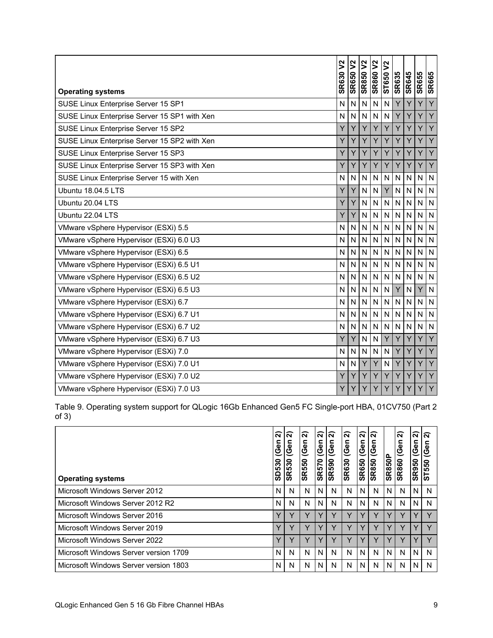| <b>Operating systems</b>                     | ኔ<br><b>SR630</b> | $\boldsymbol{\mathsf{S}}$<br><b>SR650</b> | <b>SR850 V2</b> | <b>SR860 V2</b> | $\boldsymbol{\mathsf{S}}$<br>ST650 | <b>SR635</b> | <b>SR645</b> | <b>SR655</b> | <b>SR665</b>   |
|----------------------------------------------|-------------------|-------------------------------------------|-----------------|-----------------|------------------------------------|--------------|--------------|--------------|----------------|
| SUSE Linux Enterprise Server 15 SP1          | N                 | N                                         | N               | $\overline{N}$  | N                                  | Y            | Ÿ            | Ý            | $\overline{Y}$ |
| SUSE Linux Enterprise Server 15 SP1 with Xen | N                 | $\mathsf{N}$                              | N               | $\overline{N}$  | $\mathsf{N}$                       | Y            | Y            | Y            | Y              |
| SUSE Linux Enterprise Server 15 SP2          | Y                 | Υ                                         | Y               | Y               | Υ                                  | Υ            | Y            | Υ            | Y              |
| SUSE Linux Enterprise Server 15 SP2 with Xen | Ÿ                 | Y                                         | Y               | Y               | Y                                  | Y            | Y            | Y            | Y              |
| SUSE Linux Enterprise Server 15 SP3          | Y                 | Ÿ                                         | Y               | Ÿ               | Y                                  | Y            | Y            | Y            | Y              |
| SUSE Linux Enterprise Server 15 SP3 with Xen | Y                 | Υ                                         | Y               | Y               | Y                                  | Y            | Y            | Y            | Y              |
| SUSE Linux Enterprise Server 15 with Xen     | N                 | N                                         | N               | $\mathsf{N}$    | N                                  | N            | N            | $\mathsf{N}$ | $\mathsf{N}$   |
| Ubuntu 18.04.5 LTS                           | Υ                 | Y                                         | N               | N               | Y                                  | N            | N            | $\mathsf{N}$ | N              |
| Ubuntu 20.04 LTS                             | Υ                 | Y                                         | N               | $\mathsf{N}$    | $\mathsf{N}$                       | N            | N            | N            | $\overline{N}$ |
| Ubuntu 22.04 LTS                             | Υ                 | Υ                                         | N               | N               | N                                  | N            | N            | N            | N              |
| VMware vSphere Hypervisor (ESXi) 5.5         | N                 | $\overline{N}$                            | N               | $\overline{N}$  | N                                  | N            | N            | N            | N              |
| VMware vSphere Hypervisor (ESXi) 6.0 U3      | N                 | $\mathsf{N}$                              | N               | $\overline{N}$  | N                                  | N            | N            | $\mathsf{N}$ | $\mathsf{N}$   |
| VMware vSphere Hypervisor (ESXi) 6.5         | N                 | N                                         | N               | $\mathsf{N}$    | ${\sf N}$                          | N            | N            | N            | $\mathsf{N}$   |
| VMware vSphere Hypervisor (ESXi) 6.5 U1      | N                 | N                                         | N               | $\overline{N}$  | N                                  | N            | $\mathsf{N}$ | $\mathsf{N}$ | N              |
| VMware vSphere Hypervisor (ESXi) 6.5 U2      | N                 | $\mathsf{N}$                              | N               | N               | N                                  | N.           | N            | N            | N              |
| VMware vSphere Hypervisor (ESXi) 6.5 U3      | N                 | N                                         | N               | N               | $\mathsf{N}$                       | Y            | N            | Ÿ            | $\overline{N}$ |
| VMware vSphere Hypervisor (ESXi) 6.7         | N                 | N                                         | N               | $\overline{N}$  | N                                  | N            | N            | N            | N              |
| VMware vSphere Hypervisor (ESXi) 6.7 U1      | N                 | N                                         | N               | N               | N                                  | N            | N            | $\mathsf{N}$ | $\mathsf{N}$   |
| VMware vSphere Hypervisor (ESXi) 6.7 U2      | N                 | N                                         | N               | $\mathsf{N}$    | $\mathsf{N}$                       | N.           | N            | N            | $\overline{N}$ |
| VMware vSphere Hypervisor (ESXi) 6.7 U3      | Υ                 | Υ                                         | N               | N               | Y                                  | Υ            | Y            | Υ            | Y              |
| VMware vSphere Hypervisor (ESXi) 7.0         | N                 | N                                         | N               | $\overline{N}$  | $\overline{N}$                     | Y            | Ÿ            | Ÿ            | $\overline{Y}$ |
| VMware vSphere Hypervisor (ESXi) 7.0 U1      | $\mathsf{N}$      | $\mathsf{N}$                              | Y               | Y               | N                                  | Y            | Y            | Y            | Y              |
| VMware vSphere Hypervisor (ESXi) 7.0 U2      | Y                 | Υ                                         | Y               | Y               | Υ                                  | Y            | Y            | Υ            | Y              |
| VMware vSphere Hypervisor (ESXi) 7.0 U3      | Y                 | Y                                         | Y               | Y               | Y                                  | Y            | Y            | Y            | Y              |

Table 9. Operating system support for QLogic 16Gb Enhanced Gen5 FC Single-port HBA, 01CV750 (Part 2 of 3)

| <b>Operating systems</b>              | ส<br>5<br>ပ<br>SD530 | ์ล<br>(Gen<br><b>SR530</b> | ส<br>န<br>$\tilde{\mathbf{Q}}$<br><b>SR550</b> | ์ล<br>Gen<br><b>SR570</b> | ์จ<br>(Gen<br><b>SR590</b> | ล<br>(Gen<br><b>SR630</b> | ส<br>(Gen<br><b>SR650</b> | ์ล<br>⊆<br>Φ<br>ଡ଼<br><b>SR850</b> | <b>SR850P</b> | ส<br>e۵<br>৩<br><b>SR860</b> | ล<br>(Gen<br><b>SR950</b> | ାରି<br>Φ<br>ST550 |
|---------------------------------------|----------------------|----------------------------|------------------------------------------------|---------------------------|----------------------------|---------------------------|---------------------------|------------------------------------|---------------|------------------------------|---------------------------|-------------------|
| Microsoft Windows Server 2012         | N.                   | N                          | N                                              | N.                        | N                          | N                         | N                         | N                                  | N             | N                            | N                         | N                 |
| Microsoft Windows Server 2012 R2      | N.                   | N                          | N                                              | N                         | N                          | N                         | N                         | N                                  | N             | N                            | Ν                         | N                 |
| Microsoft Windows Server 2016         | v                    | $\checkmark$               | $\checkmark$                                   | v                         | v                          |                           | v                         | $\checkmark$                       |               | Υ                            |                           | $\mathbf{v}$      |
| Microsoft Windows Server 2019         | $\checkmark$         | $\check{ }$                | $\checkmark$                                   | v                         | v                          | v                         | $\checkmark$              | $\checkmark$                       |               | Υ                            |                           | $\mathbf{v}$      |
| Microsoft Windows Server 2022         | v                    |                            |                                                |                           |                            |                           |                           |                                    |               | v                            |                           |                   |
| Microsoft Windows Server version 1709 | N.                   | N                          | N                                              | N                         | N                          | N                         | N                         | N                                  | N             | N                            | N                         | N                 |
| Microsoft Windows Server version 1803 | ΝI                   | N                          | N                                              | N.                        | N                          | N                         | N                         | N                                  | N             | N                            | N                         |                   |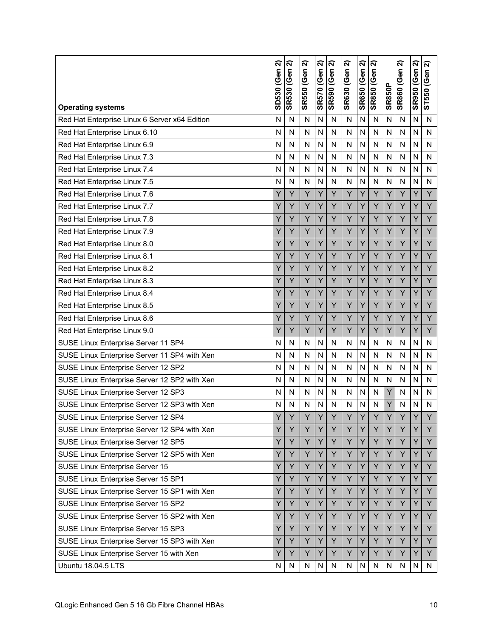| <b>Operating systems</b>                      | ล<br>SD530 (Gen | ส<br><b>SR530 (Gen</b> | ส<br><b>SR550 (Gen</b> | ส<br><b>SR570 (Gen</b> | ล<br><b>SR590 (Gen</b> | ส<br><b>SR630 (Gen</b> | ส<br><b>SR650 (Gen</b> | ส<br><b>SR850 (Gen</b> | <b>SR850P</b> | ส<br><b>SR860 (Gen</b> | ส<br><b>SR950 (Gen</b> | ส<br>ST550 (Gen |
|-----------------------------------------------|-----------------|------------------------|------------------------|------------------------|------------------------|------------------------|------------------------|------------------------|---------------|------------------------|------------------------|-----------------|
| Red Hat Enterprise Linux 6 Server x64 Edition | N               | N                      | N                      | N                      | N                      | N                      | N                      | N                      | N             | N                      | N                      | N               |
| Red Hat Enterprise Linux 6.10                 | N               | N                      | N                      | N                      | N                      | N                      | N                      | N                      | N             | N                      | N                      | N               |
| Red Hat Enterprise Linux 6.9                  | N               | N                      | N                      | N                      | N                      | N                      | N                      | N                      | N             | N                      | N                      | N               |
| Red Hat Enterprise Linux 7.3                  | N               | N                      | N                      | N                      | N                      | N                      | N                      | N                      | N             | N                      | N                      | N               |
| Red Hat Enterprise Linux 7.4                  | N               | N                      | N                      | N                      | N                      | N                      | N                      | N                      | N             | N                      | N                      | N               |
| Red Hat Enterprise Linux 7.5                  | N               | N                      | N                      | N                      | N                      | N                      | N                      | N                      | N             | N                      | N                      | N               |
| Red Hat Enterprise Linux 7.6                  | Υ               | Y                      | Y                      | Y                      | Y                      | Y                      | Υ                      | Y                      | Y             | Y                      | Υ                      | Y               |
| Red Hat Enterprise Linux 7.7                  | Y               | Y                      | Y                      | Y                      | Y                      | Y                      | Y                      | Y                      | Y             | Y                      | Y                      | Y               |
| Red Hat Enterprise Linux 7.8                  | Y               | Y                      | Y                      | Y                      | Y                      | Y                      | Y                      | Y                      | Y             | Y                      | Y                      | Y               |
| Red Hat Enterprise Linux 7.9                  | Y               | Y                      | Y                      | Y                      | Ÿ                      | Ÿ                      | Y                      | Y                      | Ý             | Y                      | Y                      | Ÿ               |
| Red Hat Enterprise Linux 8.0                  | Y               | Y                      | Y                      | Y                      | Y                      | Y                      | Y                      | Υ                      | Y             | Y                      | Y                      | Y               |
| Red Hat Enterprise Linux 8.1                  | Y               | Y                      | Y                      | Y                      | Y                      | Y                      | Y                      | Y                      | Y             | Y                      | Y                      | Y               |
| Red Hat Enterprise Linux 8.2                  | Y               | Y                      | Y                      | Y                      | Y                      | Y                      | Y                      | Y                      | Y             | Y                      | Υ                      | Y               |
| Red Hat Enterprise Linux 8.3                  | Y               | Y                      | Y                      | Y                      | Y                      | Y                      | Y                      | Y                      | Y             | Y                      | Y                      | Y               |
| Red Hat Enterprise Linux 8.4                  | Y               | Y                      | Y                      | Y                      | Ý                      | Y                      | Y                      | Y                      | Y             | Y                      | Y                      | Y               |
| Red Hat Enterprise Linux 8.5                  | Y               | Y                      | Y                      | Y                      | Y                      | Y                      | Y                      | Y                      | Y             | Y                      | Υ                      | Y               |
| Red Hat Enterprise Linux 8.6                  | Y               | Y                      | Y                      | Y                      | Ÿ                      | Ÿ                      | Y                      | Y                      | Y             | Y                      | Y                      | Y               |
| Red Hat Enterprise Linux 9.0                  | Y               | Y                      | Y                      | Y                      | Y                      | Y                      | Y                      | Y                      | Υ             | Y                      | Υ                      | Y               |
| SUSE Linux Enterprise Server 11 SP4           | N               | N                      | N                      | N                      | N                      | N                      | N                      | N                      | N             | N                      | N                      | N               |
| SUSE Linux Enterprise Server 11 SP4 with Xen  | N               | N                      | N                      | N                      | N                      | N                      | N                      | N                      | N             | N                      | N                      | N               |
| SUSE Linux Enterprise Server 12 SP2           | N               | N                      | N                      | N                      | N                      | N                      | N                      | N                      | N             | N                      | N                      | N               |
| SUSE Linux Enterprise Server 12 SP2 with Xen  | N               | N                      | N                      | N                      | N                      | N                      | N                      | N                      | N             | N                      | N                      | N               |
| SUSE Linux Enterprise Server 12 SP3           | N               | N                      | N                      | N                      | N                      | N                      | N                      | N                      | Υ             | N                      | N                      | N               |
| SUSE Linux Enterprise Server 12 SP3 with Xen  | N               | N                      | N                      | N                      | N                      | N                      | N                      | N                      | Ÿ             | N                      | N                      | N               |
| SUSE Linux Enterprise Server 12 SP4           | Υ               | Y                      | Y                      | Y                      | Y                      | Υ                      | Υ                      | Y                      | Υ             | Y                      | Υ                      | Y               |
| SUSE Linux Enterprise Server 12 SP4 with Xen  | Y               | Y                      | Y                      | Y                      | Y                      | Y                      | Y                      | Y                      | Ÿ             | Y                      | Y                      | Y               |
| SUSE Linux Enterprise Server 12 SP5           | Y               | Y                      | Y                      | Y                      | Υ                      | Υ                      | Y                      | Y                      | Υ             | Υ                      | Y                      | Y               |
| SUSE Linux Enterprise Server 12 SP5 with Xen  | Y               | Y                      | Y                      | Y                      | Υ                      | Υ                      | Y                      | Y                      | Y             | Y                      | Y                      | Y               |
| SUSE Linux Enterprise Server 15               | Y               | Y                      | Y                      | Y                      | Y                      | Y                      | Y                      | Y                      | Y             | Y                      | Y                      | Y               |
| SUSE Linux Enterprise Server 15 SP1           | Y               | Υ                      | Y                      | Y                      | Y                      | Υ                      | Y                      | Y                      | Υ             | Υ                      | Y                      | Y               |
| SUSE Linux Enterprise Server 15 SP1 with Xen  | Y               | Y                      | Y                      | Y                      | Y                      | Y                      | Y                      | Y                      | Y             | Y                      | Y                      | Y               |
| SUSE Linux Enterprise Server 15 SP2           | Y               | Υ                      | Y                      | Y                      | Υ                      | Υ                      | Υ                      | Y                      | Υ             | Υ                      | Υ                      | Y               |
| SUSE Linux Enterprise Server 15 SP2 with Xen  | Y               | Y                      | Υ                      | Y                      | Υ                      | Y                      | Y                      | Y                      | Y             | Y                      | Y                      | Y               |
| SUSE Linux Enterprise Server 15 SP3           | Y               | Y                      | Y                      | Υ                      | Υ                      | Υ                      | Y                      | Υ                      | Υ             | Υ                      | Y                      | Y               |
| SUSE Linux Enterprise Server 15 SP3 with Xen  | Υ               | Y                      | Y                      | Υ                      | Υ                      | Y                      | Y                      | Y                      | Y             | Y                      | Y                      | Y               |
| SUSE Linux Enterprise Server 15 with Xen      | Υ               | Y                      | Y                      | Y                      | Υ                      | Y                      | Y                      | Y                      | Y             | Y                      | Y                      | Y               |
| Ubuntu 18.04.5 LTS                            | ${\sf N}$       | ${\sf N}$              | N                      | N                      | N                      | N                      | N                      | ${\sf N}$              | N             | N                      | N                      | N               |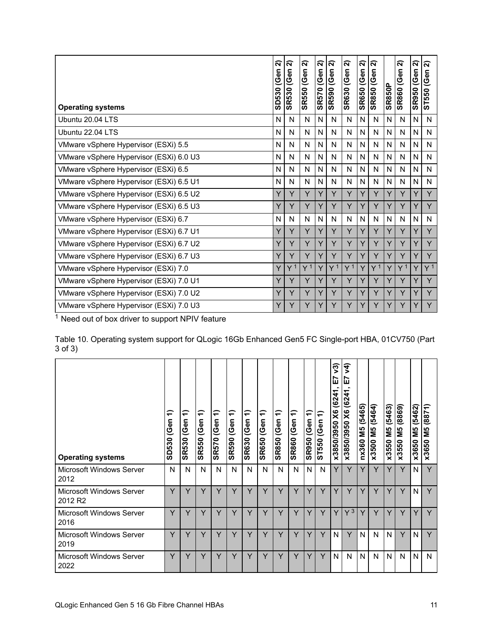<span id="page-10-0"></span>

| <b>Operating systems</b>                | ล<br>(Gen<br>SD530 | ส<br>(Gen<br><b>SR530</b> | ส<br>(Gen<br><b>SR550</b> | $\overline{\mathbf{N}}$<br>(Gen<br>0<br>SR <sub>57</sub> | ส<br>(Gen<br><b>SR590</b> | ส<br>(Gen<br><b>SR630</b> | ส<br>(Gen<br><b>SR650</b> | ส<br>(Gen<br><b>SR850</b> | <b>SR850P</b> | ส<br><b>SR860 (Gen</b> | ส<br><b>SR950 (Gen</b> | ন<br>(Gen<br>ST550 |
|-----------------------------------------|--------------------|---------------------------|---------------------------|----------------------------------------------------------|---------------------------|---------------------------|---------------------------|---------------------------|---------------|------------------------|------------------------|--------------------|
| Ubuntu 20.04 LTS                        | N                  | N                         | N                         | N                                                        | N                         | N                         | N                         | N                         | N             | N                      | N                      | N                  |
| Ubuntu 22.04 LTS                        | N                  | N                         | N                         | N                                                        | N                         | N                         | N                         | N                         | N             | N                      | N                      | N                  |
| VMware vSphere Hypervisor (ESXi) 5.5    | N                  | N                         | $\mathsf{N}$              | N                                                        | N                         | N                         | N                         | N                         | N             | N                      | N                      | N                  |
| VMware vSphere Hypervisor (ESXi) 6.0 U3 | N                  | N                         | N                         | N                                                        | N                         | N                         | N                         | N                         | N             | N                      | N                      | N                  |
| VMware vSphere Hypervisor (ESXi) 6.5    | N                  | N                         | N                         | N                                                        | N                         | N                         | N                         | N                         | N             | N                      | N                      | N                  |
| VMware vSphere Hypervisor (ESXi) 6.5 U1 | N                  | N                         | N                         | N                                                        | N                         | N                         | N                         | N                         | N             | N                      | N                      | N                  |
| VMware vSphere Hypervisor (ESXi) 6.5 U2 | Y                  | Y                         | Y                         | Y                                                        | Y                         | Y                         | Υ                         | Y                         | Y             | Y                      | Y                      | Y                  |
| VMware vSphere Hypervisor (ESXi) 6.5 U3 | Υ                  | Y                         | Y                         | Y                                                        | Y                         | Y                         | Y                         | Y                         | Y             | Y                      | Y                      | Ÿ                  |
| VMware vSphere Hypervisor (ESXi) 6.7    | N                  | N                         | N                         | N                                                        | N                         | N                         | N                         | N                         | N             | N                      | N                      | N                  |
| VMware vSphere Hypervisor (ESXi) 6.7 U1 | Y                  | Y                         | Y                         | Y                                                        | Y                         | Y                         | Y                         | Y                         | Y             | Υ                      | Y                      | Y                  |
| VMware vSphere Hypervisor (ESXi) 6.7 U2 | Y                  | Y                         | Y                         | Y                                                        | Y                         | Y                         | Y                         | Y                         | Y             | Y                      | Y                      | Y                  |
| VMware vSphere Hypervisor (ESXi) 6.7 U3 | Y                  | Y                         | Y                         | Y                                                        | Y                         | Y                         | Y                         | Y                         |               | Υ                      | Y                      | Y                  |
| VMware vSphere Hypervisor (ESXi) 7.0    | Υ                  | Y <sup>1</sup>            | Y <sup>1</sup>            | Y                                                        | Y <sup>1</sup>            | Y <sup>1</sup>            | Y                         | Y <sup>1</sup>            | Y             | Y <sup>1</sup>         | Υ                      | Y <sup>1</sup>     |
| VMware vSphere Hypervisor (ESXi) 7.0 U1 | Y                  | Y                         | Y                         | Y                                                        | Y                         | Y                         | Y                         | Υ                         | Y             | Y                      | Y                      | Y                  |
| VMware vSphere Hypervisor (ESXi) 7.0 U2 | Y                  | Y                         | Y                         | Y                                                        | Y                         | Y                         | Y                         | Y                         | Y             | Y                      | Y                      | Y                  |
| VMware vSphere Hypervisor (ESXi) 7.0 U3 | Y                  | Y                         | Y                         | Y                                                        | Y                         | Y                         | Y                         | Y                         |               | Y                      | Υ                      | Y                  |

Table 10. Operating system support for QLogic 16Gb Enhanced Gen5 FC Single-port HBA, 01CV750 (Part 3 of 3)

| <b>Operating systems</b>                        | ╤<br>(Gen<br>SD530 | ╤<br>(Gen<br><b>SR530</b> | €<br>(Gen<br><b>SR550</b> | ╤<br>(Gen<br><b>SR570</b> | €<br>(Gen<br><b>SR590</b> | ∈<br>(Gen<br><b>SR630</b> | ╤<br>(Gen<br><b>SR650</b> | ╤<br>(Gen<br><b>SR850</b> | $\leftarrow$<br>(Gen<br><b>SR860</b> | ╤<br>န<br><u>ଏ</u><br><b>SR950</b> | ╤<br>(Gen<br>ST550 | ୨ି<br>ш<br>᠇<br>624<br>$\times$<br>0562/0582x | ╤<br>⋗<br>r<br>ш<br>(6241)<br>x3850/3950 X6 | (5465)<br><b>SM</b><br>nx360 | (5464)<br>М5<br>М<br>x3500 | (5463)<br>Μ5<br>x3550 | (8869)<br><b>SM</b><br>x3550 | (5462)<br><b>SM</b><br>x3650 | 1288)<br>ທ<br>Σ<br>x3650 |
|-------------------------------------------------|--------------------|---------------------------|---------------------------|---------------------------|---------------------------|---------------------------|---------------------------|---------------------------|--------------------------------------|------------------------------------|--------------------|-----------------------------------------------|---------------------------------------------|------------------------------|----------------------------|-----------------------|------------------------------|------------------------------|--------------------------|
| <b>Microsoft Windows Server</b><br>2012         | N                  | N                         | N                         | N                         | N                         | N                         | N                         | N                         | N                                    | N                                  | N                  | Y                                             | Y                                           | Y                            | Y                          | Y                     | Y                            | N                            | Y                        |
| Microsoft Windows Server<br>2012 R <sub>2</sub> | Y                  | Y                         | Y                         | Y                         | Y                         | Y                         | Y                         | Y                         | Y                                    | Y                                  | Y                  | Y                                             | Y                                           | Y                            | Y                          | Υ                     | Y                            | N                            | Y                        |
| <b>Microsoft Windows Server</b><br>2016         | Y                  | Y                         | Y                         | Y                         | Y                         | Y                         | Y                         | Y                         | Y                                    | Y                                  | Y                  | Y                                             | $Y^3$                                       | Y                            | Y                          | Υ                     | Y                            | ٧                            | Y                        |
| <b>Microsoft Windows Server</b><br>2019         | Y                  | Y                         | Y                         | Y                         | Y                         | Y                         | Y                         | Y                         | Y                                    | Y                                  | Y                  | N                                             | Y                                           | N                            | N                          | N                     | Y                            | N                            | Y                        |
| <b>Microsoft Windows Server</b><br>2022         | Y                  | Y                         | Y                         | Y                         | Y                         | Y                         | Y                         | Y                         | Y                                    | Y                                  | Y                  | N                                             | N                                           | N                            | N                          | N                     | N                            | N                            | N                        |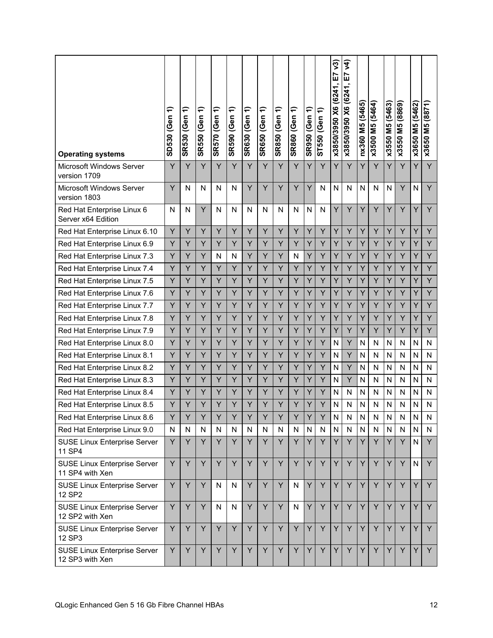| <b>Operating systems</b>                               | ╤<br>SD530 (Gen | ╤<br><b>SR530 (Gen</b> | ╤<br><b>SR550 (Gen</b> | ╤<br><b>SR570 (Gen</b> | ╤<br><b>SR590 (Gen</b> | ╤<br><b>SR630 (Gen</b> | ╤<br><b>SR650 (Gen</b> | ╤<br><b>SR850 (Gen</b> | ╤<br><b>SR860 (Gen</b> | ╤<br><b>SR950 (Gen</b> | ╤<br>ST550 (Gen | $\sqrt{3}$<br><u>r</u><br>X6 (6241,<br>x3850/3950 | र्<br>E7<br>x3850/3950 X6 (6241, | nx360 M5 (5465) | M5 (5464)<br>x3500 | x3550 M5 (5463) | x3550 M5 (8869) | x3650 M5 (5462) | (8871)<br><b>N5</b><br>x3650 |
|--------------------------------------------------------|-----------------|------------------------|------------------------|------------------------|------------------------|------------------------|------------------------|------------------------|------------------------|------------------------|-----------------|---------------------------------------------------|----------------------------------|-----------------|--------------------|-----------------|-----------------|-----------------|------------------------------|
| Microsoft Windows Server<br>version 1709               | Y               | Y                      | Y                      | Y                      | Y                      | Y                      | Y                      | Y                      | Y                      | Y                      | Y               | Y                                                 | Y                                | Y               | Y                  | Y               | Y               | Y               | Y                            |
| Microsoft Windows Server<br>version 1803               | Y               | N                      | N                      | N                      | N                      | Y                      | Y                      | Y                      | Y                      | Y                      | N               | N                                                 | N                                | N               | N                  | N               | Y               | N               | Y                            |
| Red Hat Enterprise Linux 6<br>Server x64 Edition       | N               | N                      | Y                      | N                      | N                      | N                      | N                      | N                      | N                      | N                      | N               | Υ                                                 | Y                                | Y               | Y                  | Y               | Y               | Y               | Y                            |
| Red Hat Enterprise Linux 6.10                          | Y               | Ÿ                      | Y                      | Y                      | Y                      | Y                      | Y                      | Y                      | Y                      | Y                      | Y               | Y                                                 | Y                                | Y               | Y                  | Y               | Y               | Y               | Y                            |
| Red Hat Enterprise Linux 6.9                           | Υ               | Υ                      | Υ                      | Υ                      | Y                      | Υ                      | Y                      | Υ                      | Y                      | Y                      | Y               | Υ                                                 | Y                                | Υ               | Y                  | Y               | Y               | Y               | Y                            |
| Red Hat Enterprise Linux 7.3                           | Y               | Y                      | Ÿ                      | N                      | N                      | Y                      | Y                      | Y                      | N                      | Y                      | Y               | Y                                                 | Y                                | Y               | Y                  | Y               | Y               | Y               | Y                            |
| Red Hat Enterprise Linux 7.4                           | Υ               | Υ                      | Y                      | Υ                      | Y                      | Υ                      | Υ                      | Υ                      | Y                      | Y                      | Y               | Y                                                 | Y                                | Y               | Υ                  | Y               | Υ               | Y               | Y                            |
| Red Hat Enterprise Linux 7.5                           | Υ               | Υ                      | Y                      | Y                      | Y                      | Y                      | Y                      | Y                      | Y                      | Y                      | Y               | Ý                                                 | Y                                | Ÿ               | Y                  | Ý               | Y               | Y               | Y                            |
| Red Hat Enterprise Linux 7.6                           | Υ               | Υ                      | Y                      | Υ                      | Y                      | Υ                      | Y                      | Υ                      | Υ                      | Y                      | Y               | Y                                                 | Y                                | Υ               | Υ                  | Υ               | Υ               | Y               | Y                            |
| Red Hat Enterprise Linux 7.7                           | Υ               | Υ                      | Y                      | Υ                      | Y                      | Υ                      | Y                      | Y                      | Y                      | Y                      | Y               | Υ                                                 | Y                                | Υ               | Y                  | Y               | Y               | Y               | Y                            |
| Red Hat Enterprise Linux 7.8                           | Υ               | Υ                      | Y                      | Υ                      | Y                      | Y                      | Y                      | Y                      | Y                      | Y                      | Y               | Y                                                 | Y                                | Y               | Y                  | Y               | Y               | Y               | Y                            |
| Red Hat Enterprise Linux 7.9                           | Υ               | Υ                      | Y                      | Y                      | Y                      | Y                      | Y                      | Y                      | Y                      | Y                      | Y               | Y                                                 | Y                                | Y               | Y                  | Y               | Y               | Y               | Y                            |
| Red Hat Enterprise Linux 8.0                           | Y               | Y                      | Y                      | Y                      | Y                      | Y                      | Y                      | Y                      | Y                      | Y                      | Y               | N                                                 | Y                                | N               | N                  | N               | N               | N               | N                            |
| Red Hat Enterprise Linux 8.1                           | Υ               | Υ                      | Y                      | Y                      | Υ                      | Υ                      | Υ                      | Y                      | Y                      | Y                      | Y               | N                                                 | Y                                | N               | N                  | N               | N               | N               | N                            |
| Red Hat Enterprise Linux 8.2                           | Y               | Y                      | Ÿ                      | Y                      | Y                      | Y                      | Y                      | Y                      | Y                      | Y                      | Y               | N                                                 | Y                                | N               | $\mathsf{N}$       | N               | N               | N               | N                            |
| Red Hat Enterprise Linux 8.3                           | Υ               | Υ                      | Y                      | Υ                      | Y                      | Υ                      | Y                      | Υ                      | Y                      | Y                      | Y               | N                                                 | Y                                | N               | ${\sf N}$          | N               | ${\sf N}$       | N               | N                            |
| Red Hat Enterprise Linux 8.4                           | Υ               | Y                      | Υ                      | Υ                      | Y                      | Y                      | Y                      | Y                      | Y                      | Y                      | Y               | N                                                 | N                                | N               | N                  | N               | N               | N               | N                            |
| Red Hat Enterprise Linux 8.5                           | Υ               | Y                      | Y                      | Y                      | Υ                      | Υ                      | Y                      | Υ                      | Y                      | Y                      | Y               | N                                                 | N                                | N               | N                  | N               | ${\sf N}$       | N               | N                            |
| Red Hat Enterprise Linux 8.6                           | Y               | Y                      | Y                      | Y                      | Ÿ                      | Y                      | Ý                      | Y                      | Y                      | Y                      | Y               | N                                                 | N                                | N               | $\mathsf{N}$       | N               | N               | N               | N                            |
| Red Hat Enterprise Linux 9.0                           | N               | N                      | N                      | N                      | N                      | N                      | N                      | N                      | N                      | N                      | N               | N                                                 | N                                | N               | N                  | N               | N               | $\mathsf{N}$    | N                            |
| <b>SUSE Linux Enterprise Server</b><br>11 SP4          | Y               | Y                      | Y                      | Υ                      | Y                      | Y                      | Y                      | Y                      | Y                      | Υ                      | Y               | Y                                                 | Y                                | Y               | Y                  | Y               | Y               | N               | Y                            |
| <b>SUSE Linux Enterprise Server</b><br>11 SP4 with Xen | Y               | Y                      | Y                      | Y                      | Y                      | Y                      | Y                      | Y                      | Y                      | Y                      | Y               | Y                                                 | Y                                | Y               | Y                  | Y               | Y               | $\mathsf{N}$    | Y                            |
| <b>SUSE Linux Enterprise Server</b><br>12 SP2          | Y               | Y                      | Υ                      | N                      | N                      | Y                      | Y                      | Y                      | N                      | Y                      | Y               | Y                                                 | Y                                | Y               | Y                  | Y               | Y               | Y               | Y                            |
| <b>SUSE Linux Enterprise Server</b><br>12 SP2 with Xen | Y               | Y                      | Y                      | N                      | N                      | Y                      | Y                      | Y                      | N                      | Y                      | Y               | Y                                                 | Y                                | Y               | Y                  | Y               | Y               | Y               | Y                            |
| <b>SUSE Linux Enterprise Server</b><br>12 SP3          | Y               | Y                      | Y                      | Y                      | Y                      | Y                      | Y                      | Y                      | Y                      | Y.                     | Y               | Y                                                 | Y                                | Y               | Y                  | Y               | Y               | Y               | Y                            |
| <b>SUSE Linux Enterprise Server</b><br>12 SP3 with Xen | Y               | Y                      | Y                      | Y                      | Υ                      | Y                      | Y                      | Y                      | Y                      | Y                      | Y               | Y                                                 | Y                                | Y               | Y                  | Y               | Y               | Y               | Y                            |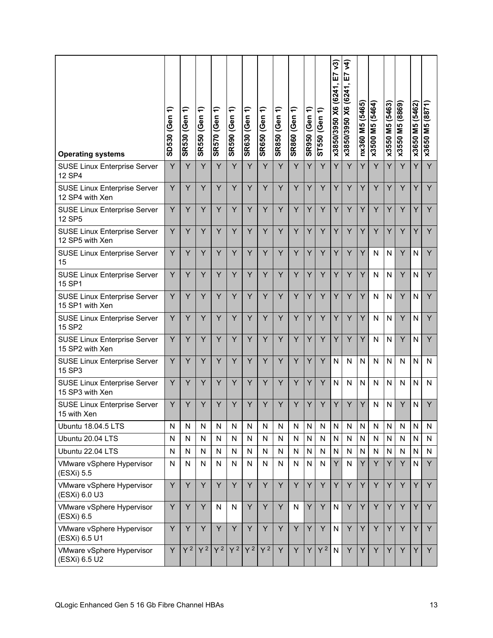| <b>Operating systems</b>                               | ╤<br>SD530 (Gen | ╤<br><b>SR530 (Gen</b> | SR550 (Gen 1) | SR570 (Gen 1) | SR590 (Gen 1) | SR630 (Gen 1) | <b>SR650 (Gen 1)</b> | SR850 (Gen 1) | SR860 (Gen 1) | ╤<br><b>SR950 (Gen</b> | ST550 (Gen 1) | $\sqrt{3}$<br>E7<br>x3850/3950 X6 (6241) | र्च<br>E7<br>x3850/3950 X6 (6241, | nx360 M5 (5465) | x3500 M5 (5464) | x3550 M5 (5463) | x3550 M5 (8869) | x3650 M5 (5462) | M5 (8871)<br>x3650 |
|--------------------------------------------------------|-----------------|------------------------|---------------|---------------|---------------|---------------|----------------------|---------------|---------------|------------------------|---------------|------------------------------------------|-----------------------------------|-----------------|-----------------|-----------------|-----------------|-----------------|--------------------|
| <b>SUSE Linux Enterprise Server</b><br>12 SP4          | Y               | Ÿ                      | Y             | Y             | Y             | Y             | Y                    | Y             | Y             | Y                      | Y             | Y                                        | Y                                 | Y               | Y               | Y               | Y               | Y               | Y                  |
| <b>SUSE Linux Enterprise Server</b><br>12 SP4 with Xen | Y               | Ÿ                      | Y             | Y             | Y             | Y             | Y                    | Y             | Y             | Y                      | Y             | Y                                        | Y                                 | Y               | Y               | Y               | Y               | Y               | Y                  |
| <b>SUSE Linux Enterprise Server</b><br><b>12 SP5</b>   | Y               | Υ                      | Y             | Y             | Y             | Y             | Y                    | Y             | Y             | Y                      | Y             | Y                                        | Y                                 | Y               | Y               | Y               | Y               | Y               | Y                  |
| <b>SUSE Linux Enterprise Server</b><br>12 SP5 with Xen | Y               | Ÿ                      | Ÿ             | Y             | Y             | Y             | Y                    | Y             | Y             | Y                      | Y             | Y                                        | Y                                 | Y               | Y               | Y               | Y               | Y               | Y                  |
| <b>SUSE Linux Enterprise Server</b><br>15              | Y               | Y                      | Y             | Y             | Y             | Y             | Y                    | Y             | Y             | Y                      | Y             | Y                                        | Y                                 | Y               | N               | N               | Y               | N               | Y                  |
| <b>SUSE Linux Enterprise Server</b><br>15 SP1          | Y               | Y                      | Y             | Y             | Y             | Y             | Y                    | Y             | Y             | Y                      | Y             | Y                                        | Y                                 | Y               | $\mathsf{N}$    | N               | Y               | N               | Y                  |
| <b>SUSE Linux Enterprise Server</b><br>15 SP1 with Xen | Y               | Y                      | Y             | Y             | Y             | Y             | Y                    | Y             | Y             | Y                      | Y             | Y                                        | Y                                 | Y               | $\mathsf{N}$    | N               | Y               | N               | Y                  |
| <b>SUSE Linux Enterprise Server</b><br>15 SP2          | Y               | Y                      | Y             | Y             | Y             | Y             | Y                    | Y             | Y             | Y                      | Y             | Y                                        | Y                                 | Y               | $\mathsf{N}$    | N               | Y               | N               | Y                  |
| <b>SUSE Linux Enterprise Server</b><br>15 SP2 with Xen | Y               | Y                      | Y             | Y             | Y             | Y             | Y                    | Y             | Y             | Y                      | Y             | Y                                        | Y                                 | Y               | N               | N               | Y               | N               | Y                  |
| <b>SUSE Linux Enterprise Server</b><br>15 SP3          | Y               | Y                      | Y             | Y             | Y             | Y             | Y                    | Y             | Y             | Y                      | Y             | N                                        | N                                 | N               | N               | N               | N               | N               | N                  |
| <b>SUSE Linux Enterprise Server</b><br>15 SP3 with Xen | Y               | Ÿ                      | Y             | Y             | Y             | Y             | Y                    | Y             | Y             | Y                      | Y             | N                                        | N                                 | N               | N               | N               | N               | N               | N                  |
| <b>SUSE Linux Enterprise Server</b><br>15 with Xen     | Y               | Ÿ                      | Y             | Y             | Y             | Y             | Y                    | Y             | Y             | Y                      | Y             | Y                                        | Y                                 | Y               | N               | N               | Ÿ               | N               | Y                  |
| <b>Ubuntu 18.04.5 LTS</b>                              | N               | N                      | N             | N             | N             | N             | N                    | N             | N             | N                      | N             | $\mathsf{N}$                             | N                                 | N               | N               | N               | N               | N               | N                  |
| Ubuntu 20.04 LTS                                       | N               | N                      | И             | N             | N             | N             | N                    | N             | N             | N                      | N             | $\mathsf{N}$                             | N                                 | N               | N               | N               | N               | N               | N                  |
| Ubuntu 22.04 LTS                                       | N               | N                      | N             | N             | N             | N             | N                    | N             | N             | N                      | N             | N                                        | $\mathsf{N}$                      | N               | N               | N               | N               | N               | N                  |
| VMware vSphere Hypervisor<br>(ESXi) 5.5                | N               | N                      | N             | N             | N             | N             | N                    | N             | N             | N                      | N             | Y                                        | N                                 | Y               | Y               | Y               | Y               | N               | Y                  |
| VMware vSphere Hypervisor<br>(ESXi) 6.0 U3             | Y               | Y                      | Y             | Y             | Y             | Y             | Y                    | Y             | Y             | Y                      | Y             | Y                                        | Y                                 | Y               | Y               | Y               | Y               | Y               | Y                  |
| VMware vSphere Hypervisor<br>(ESXi) 6.5                | Y               | Y                      | Y             | N             | N             | Y             | Y                    | Y             | N             | Y                      | Y             | $\mathsf{N}$                             | Y                                 | Y               | Y               | Y               | Y               | Y               | Y                  |
| VMware vSphere Hypervisor<br>(ESXi) 6.5 U1             | Y               | Y                      | Y             | Y             | Y             | Y             | Y                    | Y             | Y             | Y                      | Y             | $\mathsf{N}$                             | Y                                 | Y               | Y               | Y               | Y               | Y               | Y                  |
| VMware vSphere Hypervisor<br>(ESXi) 6.5 U2             | Y               | $Y^2$                  | $Y^2$         | $Y^2$         | $\sqrt{2}$    | $Y^2$         | $Y^2$                | Y             | Y             | Y                      | $Y^2$         | ${\sf N}$                                | Y                                 | Y               | Y               | Y               | Y               | Y               | Y                  |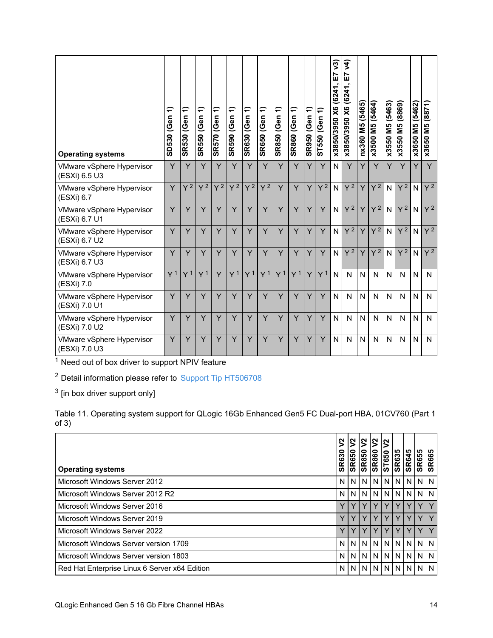| <b>Operating systems</b>                   | ╤<br>SD530 (Gen | ↽<br>(Gen<br><b>SR530</b> | ╤<br><b>SR550 (Gen</b> | ╤<br><b>SR570 (Gen</b> | ╤<br><b>SR590 (Gen</b> | ╤<br><b>SR630 (Gen</b> | ╤<br><b>SR650 (Gen</b> | ╤<br><b>SR850 (Gen</b> | ╤<br><b>SR860 (Gen</b> | $\equiv$<br><b>SR950 (Gen</b> | ST550 (Gen 1)  | v3<br>E7<br>X6 (6241,<br>x3850/3950 | $\widetilde{\mathcal{F}}$<br>Ŀ<br>x3850/3950 X6 (6241, | nx360 M5 (5465) | M5 (5464)<br>x3500 | M5 (5463)<br>x3550 | 6988) SM 0552X | M5 (5462)<br>x3650 | (8871)<br><b>M5</b><br>x3650 |
|--------------------------------------------|-----------------|---------------------------|------------------------|------------------------|------------------------|------------------------|------------------------|------------------------|------------------------|-------------------------------|----------------|-------------------------------------|--------------------------------------------------------|-----------------|--------------------|--------------------|----------------|--------------------|------------------------------|
| VMware vSphere Hypervisor<br>(ESXi) 6.5 U3 | Y               | Y                         | Y                      | Y                      | Y                      | Y                      | Y                      | Y                      | Y                      | Y                             | Y              | N                                   | Y                                                      | Y               | Y                  | Y                  | Y              | Y                  | Y                            |
| VMware vSphere Hypervisor<br>(ESXi) 6.7    | Y               | $Y^2$                     | $Y^2$                  | $Y^2$                  | $Y^2$                  | $Y^2$                  | $Y^2$                  | Y                      | Y                      | Ÿ                             | $Y^2$          | N                                   | $Y^2$                                                  | Y               | $Y^2$              | N                  | $Y^2$          | $\overline{N}$     | $Y^2$                        |
| VMware vSphere Hypervisor<br>(ESXi) 6.7 U1 | Y               | Y                         | Y                      | Y                      | Y                      | Y                      | Y                      | Y                      | Y                      | Y                             | Y              | $\mathsf{N}$                        | Y <sup>2</sup>                                         | Y               | $Y^2$              | N                  | $Y^2$          | N                  | $Y^2$                        |
| VMware vSphere Hypervisor<br>(ESXi) 6.7 U2 | Y               | Ÿ                         | Y                      | Y                      | Y                      | Y                      | Y                      | Y                      | Y                      | Y                             | Y              | N                                   | $Y^2$                                                  | Y               | $Y^2$              | N                  | $Y^2$          | N                  | $Y^2$                        |
| VMware vSphere Hypervisor<br>(ESXi) 6.7 U3 | Y               | Y                         | Y                      | Y                      | Y                      | Y                      | Y                      | Y                      | Y                      | Y                             | Y              | N                                   | $Y^2$                                                  | Y               | $Y^2$              | N                  | $Y^2$          | N                  | $Y^2$                        |
| VMware vSphere Hypervisor<br>(ESXi) 7.0    | Y <sup>1</sup>  | Y <sup>1</sup>            | Y <sup>1</sup>         | Y                      | Y <sup>1</sup>         | Y <sup>1</sup>         | Y <sup>1</sup>         | Y <sup>1</sup>         | Y <sup>1</sup>         | Y                             | Y <sup>1</sup> | N                                   | N                                                      | N               | $\mathsf{N}$       | N                  | $\mathsf{N}$   | $\mathsf{N}$       | $\mathsf{N}$                 |
| VMware vSphere Hypervisor<br>(ESXi) 7.0 U1 | Y               | Y                         | Y                      | Y                      | Y                      | Y                      | Y                      | Y                      | Y                      | Y                             | Y              | N                                   | N                                                      | $\mathsf{N}$    | $\mathsf{N}$       | N                  | N              | N                  | N                            |
| VMware vSphere Hypervisor<br>(ESXi) 7.0 U2 | Y               | Y                         | Y                      | Y                      | Y                      | Y                      | Y                      | Y                      | Y                      | Y                             | Y              | $\mathsf{N}$                        | N                                                      | N               | N                  | N                  | N              | $\mathsf{N}$       | N                            |
| VMware vSphere Hypervisor<br>(ESXi) 7.0 U3 | Y               | Y                         | Y                      | Y                      | Y                      | Y                      | Y                      | Y                      | Y                      | Y                             | Y              | $\mathsf{N}$                        | N                                                      | $\mathsf{N}$    | $\mathsf{N}$       | N                  | N              | N                  | N                            |

<sup>2</sup> Detail information please refer to Support Tip [HT506708](https://datacentersupport.lenovo.com/us/en/solutions/ht506708)

 $3$  [in box driver support only]

Table 11. Operating system support for QLogic 16Gb Enhanced Gen5 FC Dual-port HBA, 01CV760 (Part 1  $of 3)$ 

| <b>Operating systems</b>                      | $2$<br><b>SR630</b> | 5<br><b>SR650</b> | 5<br><b>SR850</b> | l2<br><b>SR860</b> | ST650          | <b>SR635</b><br>SR645 |                | <b>SR655</b> | ၊ ဟ<br>SR66! |
|-----------------------------------------------|---------------------|-------------------|-------------------|--------------------|----------------|-----------------------|----------------|--------------|--------------|
| Microsoft Windows Server 2012                 | N <sub>1</sub>      | N                 | N                 |                    | <b>NINI</b>    | N I                   | N <sub>1</sub> | N            | I N          |
| Microsoft Windows Server 2012 R2              | N.                  | N                 | N                 | IN I               | N <sub>1</sub> | N I                   | N <sub>1</sub> | N            | I N          |
| Microsoft Windows Server 2016                 | Y                   |                   |                   | v                  |                |                       |                |              |              |
| Microsoft Windows Server 2019                 | Υ                   | $\vee$            | Y                 | v                  |                |                       |                |              |              |
| Microsoft Windows Server 2022                 | Y                   |                   |                   |                    |                |                       |                |              |              |
| Microsoft Windows Server version 1709         | N.                  | N                 | N                 | <sub>N</sub>       | N              | N                     | N              | N            | I N          |
| Microsoft Windows Server version 1803         | N <sub>1</sub>      | N                 | N                 | N                  | <sub>N</sub>   | N I                   | N <sub>1</sub> | N            | I N          |
| Red Hat Enterprise Linux 6 Server x64 Edition | N.                  | N.                |                   | <b>NINININININ</b> |                |                       |                |              |              |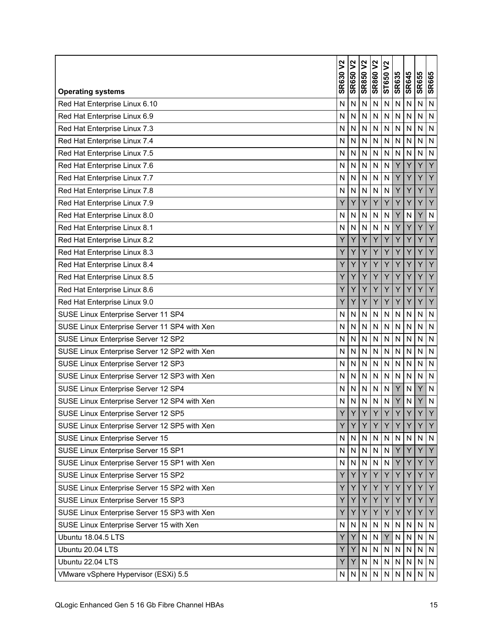|                                              | ኔ<br><b>SR630</b> | ያ<br><b>SR650</b> | <b>SR850 V2</b> | <b>SR860 V2</b> | $\boldsymbol{\mathsf{S}}$<br>ST650 | <b>SR635</b> | <b>SR645</b> | <b>SR655</b> | <b>SR665</b>   |
|----------------------------------------------|-------------------|-------------------|-----------------|-----------------|------------------------------------|--------------|--------------|--------------|----------------|
| <b>Operating systems</b>                     |                   |                   |                 |                 |                                    |              |              |              |                |
| Red Hat Enterprise Linux 6.10                | N                 | N                 | N               | $\mathsf{N}$    | N                                  | N            | Ν            | N            | $\mathsf{N}$   |
| Red Hat Enterprise Linux 6.9                 | N                 | $\mathsf{N}$      | N               | N               | N                                  | N            | N            | N            | N              |
| Red Hat Enterprise Linux 7.3                 | $\mathsf{N}$      | ${\sf N}$         | N               | $\mathsf{N}$    | $\mathsf{N}$                       | N            | N            | N            | $\mathsf{N}$   |
| Red Hat Enterprise Linux 7.4                 | N                 | $\mathsf{N}$      | N               | N               | N                                  | N            | N            | N            | N              |
| Red Hat Enterprise Linux 7.5                 | N                 | N                 | N               | N               | N                                  | N            | N            | N            | N              |
| Red Hat Enterprise Linux 7.6                 | N                 | N                 | N               | N               | N                                  | Y            | Ÿ            | Ÿ            | Y              |
| Red Hat Enterprise Linux 7.7                 | N                 | N                 | N               | N               | N                                  | Y            | Y            | Y            | Y              |
| Red Hat Enterprise Linux 7.8                 | N                 | N                 | N               | N               | N                                  | Y            | Y            | Υ            | Y              |
| Red Hat Enterprise Linux 7.9                 | Ý                 | Ÿ                 | Y               | Ÿ               | Y                                  | Y            | Ÿ            | Ÿ            | Y              |
| Red Hat Enterprise Linux 8.0                 | N                 | N                 | N               | ${\sf N}$       | $\mathsf{N}$                       | Y            | N            | Υ            | ${\sf N}$      |
| Red Hat Enterprise Linux 8.1                 | N                 | N                 | N               | $\overline{N}$  | N                                  | Y            | Ÿ            | Ý            | $\overline{Y}$ |
| Red Hat Enterprise Linux 8.2                 | Υ                 | Y                 | Y               | Y               | Y                                  | Υ            | Y            | Υ            | Y              |
| Red Hat Enterprise Linux 8.3                 | Y                 | Y                 | Y               | Ÿ               | Y                                  | Y            | Y            | Y            | Y              |
| Red Hat Enterprise Linux 8.4                 | Y                 | Y                 | Y               | Y               | Y                                  | Y            | Y            | Y            | Y              |
| Red Hat Enterprise Linux 8.5                 | Υ                 | Y                 | Y               | Y               | Y                                  | Y            | Y            | Y            | Y              |
| Red Hat Enterprise Linux 8.6                 | Υ                 | Y                 | Y               | Y               | Y                                  | Y            | Y            | Ÿ            | Y              |
| Red Hat Enterprise Linux 9.0                 | Υ                 | Υ                 | Y               | Y               | Y                                  | Y            | Y            | Y            | Y              |
| SUSE Linux Enterprise Server 11 SP4          | N                 | $\mathsf{N}$      | N               | $\mathsf{N}$    | N                                  | N            | N            | N            | $\overline{N}$ |
| SUSE Linux Enterprise Server 11 SP4 with Xen | $\mathsf{N}$      | ${\sf N}$         | N               | $\mathsf{N}$    | $\mathsf{N}$                       | N            | ${\sf N}$    | N            | ${\sf N}$      |
| SUSE Linux Enterprise Server 12 SP2          | N                 | $\mathsf{N}$      | N               | $\overline{N}$  | $\mathsf{N}$                       | N            | N            | N            | N              |
| SUSE Linux Enterprise Server 12 SP2 with Xen | N                 | N                 | N               | N               | N                                  | N            | N            | N            | $\mathsf{N}$   |
| SUSE Linux Enterprise Server 12 SP3          | N                 | N                 | N               | N               | N                                  | N            | N            | N            | $\overline{N}$ |
| SUSE Linux Enterprise Server 12 SP3 with Xen | N                 | N                 | N               | N               | N                                  | N            | N            | N            | $\mathsf{N}$   |
| SUSE Linux Enterprise Server 12 SP4          | N                 | N                 | N               | N               | N                                  | Y            | N            | Y            | $\mathsf{N}$   |
| SUSE Linux Enterprise Server 12 SP4 with Xen | N                 | $\mathsf{N}$      | N               | $\mathsf{N}$    | N                                  | Y            | N            | Y            | $\mathsf{N}$   |
| SUSE Linux Enterprise Server 12 SP5          | Y                 | Y                 | Y               | Ÿ               | Y                                  | Y            | Y            | Y            | Y              |
| SUSE Linux Enterprise Server 12 SP5 with Xen | Υ                 | Y                 | Y               | Y               | Y                                  | Y            | Y            | Y            | Y              |
| SUSE Linux Enterprise Server 15              | N                 | N                 | ${\sf N}$       | ${\sf N}$       | ${\sf N}$                          | N            | $\mathsf{N}$ | ${\sf N}$    | $\mathsf{N}$   |
| SUSE Linux Enterprise Server 15 SP1          | N                 | N                 | $\mathsf{N}$    | $\mathsf{N}$    | ${\sf N}$                          | Y            | Υ            | Y            | Y              |
| SUSE Linux Enterprise Server 15 SP1 with Xen | ${\sf N}$         | ${\sf N}$         | $\mathsf{N}$    | $\mathsf{N}$    | N                                  | Y            | Y            | Y            | Y              |
| SUSE Linux Enterprise Server 15 SP2          | Υ                 | Y                 | Y               | Y               | Υ                                  | Y            | Y            | Y            | Y              |
| SUSE Linux Enterprise Server 15 SP2 with Xen | Y                 | Y                 | Y               | Y               | Υ                                  | Y            | Y            | Y            | Y              |
| SUSE Linux Enterprise Server 15 SP3          | Υ                 | Y                 | Υ               | Υ               | Υ                                  | Y            | Y            | Υ            | Y              |
| SUSE Linux Enterprise Server 15 SP3 with Xen | Y                 | Y                 | Y               | Y               | Y                                  | Y            | Y            | Y            | Y              |
| SUSE Linux Enterprise Server 15 with Xen     | N                 | N                 | $\mathsf{N}$    | ${\sf N}$       | ${\sf N}$                          | N            | ${\sf N}$    | ${\sf N}$    | $\mathsf{N}$   |
| Ubuntu 18.04.5 LTS                           | Υ                 | Y                 | ${\sf N}$       | N               | Y                                  | N            | ${\sf N}$    | N            | ${\sf N}$      |
| Ubuntu 20.04 LTS                             | Υ                 | Y                 | $\mathsf{N}$    | $\mathsf{N}$    | ${\sf N}$                          | N            | ${\sf N}$    | ${\sf N}$    | ${\sf N}$      |
| Ubuntu 22.04 LTS                             | Υ                 | Y                 | ${\sf N}$       | $\mathsf{N}$    | ${\sf N}$                          | N            | N            | N            | ${\sf N}$      |
| VMware vSphere Hypervisor (ESXi) 5.5         | N                 | N                 | $\mathsf{N}$    | ${\sf N}$       | N                                  | N            | N            | ${\sf N}$    | IN.            |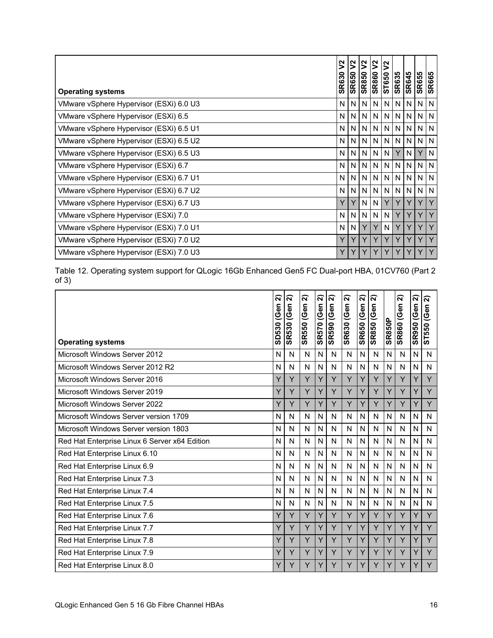| <b>Operating systems</b>                | ξ<br><b>SR630</b> | $\boldsymbol{\mathsf{S}}$<br><b>SR650</b> | ⅀<br><b>SR850</b> | $\mathsf{S}$<br><b>SR860</b> | $\overline{\mathsf{S}}$<br>ST650 | <b>SR635</b>   | <b>SR645</b> | <b>SR655</b> | <b>SR665</b> |
|-----------------------------------------|-------------------|-------------------------------------------|-------------------|------------------------------|----------------------------------|----------------|--------------|--------------|--------------|
| VMware vSphere Hypervisor (ESXi) 6.0 U3 | N.                | N                                         | N                 | N.                           | N                                | N I            | N.           | N            | N            |
| VMware vSphere Hypervisor (ESXi) 6.5    | N <sub>1</sub>    | N                                         | N                 | N                            | N                                | N <sub>1</sub> | N            | N            | I N          |
| VMware vSphere Hypervisor (ESXi) 6.5 U1 | N                 | N                                         | N                 | N                            | N                                | N              | N            | N            | N            |
| VMware vSphere Hypervisor (ESXi) 6.5 U2 | N.                | N                                         | N                 | N                            | N                                | ΝI             | N.           | N            | N            |
| VMware vSphere Hypervisor (ESXi) 6.5 U3 | N.                | N                                         | N.                | N                            | N                                | Y              | N.           | Y            | N            |
| VMware vSphere Hypervisor (ESXi) 6.7    | N                 | N                                         | N                 | N.                           | N                                | N              | N            | N            | I N          |
| VMware vSphere Hypervisor (ESXi) 6.7 U1 | N.                | N                                         | N                 | N.                           | N                                | N <sub>1</sub> | N            | N            | I N          |
| VMware vSphere Hypervisor (ESXi) 6.7 U2 | N.                | N                                         | N                 | N.                           | N                                | N <sub>1</sub> | N            | N            | N            |
| VMware vSphere Hypervisor (ESXi) 6.7 U3 | Y                 | Y                                         | N                 | N                            | Y                                | Y              | Y            | Y            | Y            |
| VMware vSphere Hypervisor (ESXi) 7.0    | N.                | N                                         | N                 | N.                           | N                                | Y              | Y            | Y            | Y            |
| VMware vSphere Hypervisor (ESXi) 7.0 U1 | N                 | N                                         | Y                 | Y                            | N                                | Y              | Y            | Y            | Y            |
| VMware vSphere Hypervisor (ESXi) 7.0 U2 | Y                 | Y                                         | Y                 | Y                            | Y                                | Y              | Y            | Y            | Y            |
| VMware vSphere Hypervisor (ESXi) 7.0 U3 | Y                 | Y                                         | Y                 | Y                            |                                  | Y              | Y            | Y            |              |

Table 12. Operating system support for QLogic 16Gb Enhanced Gen5 FC Dual-port HBA, 01CV760 (Part 2 of 3)

| <b>Operating systems</b>                      | ส<br>(Gen<br>SD530 | ส<br><b>SR530 (Gen</b> | ส<br>(Gen<br><b>SR550</b> | ส<br>(Gen<br><b>SR570</b> | ส<br><b>SR590 (Gen</b> | ส<br><b>SR630 (Gen</b> | ส<br><b>SR650 (Gen</b> | ส<br>SR850 (Gen | <b>SR850P</b> | ন<br><b>SR860 (Gen</b> | ส<br><b>SR950 (Gen</b> | ส<br>(Gen<br>550<br>5 |
|-----------------------------------------------|--------------------|------------------------|---------------------------|---------------------------|------------------------|------------------------|------------------------|-----------------|---------------|------------------------|------------------------|-----------------------|
| Microsoft Windows Server 2012                 | N                  | N                      | N                         | N                         | N                      | N                      | N                      | N               | N             | N                      | N                      | N                     |
| Microsoft Windows Server 2012 R2              | N                  | N                      | N                         | N                         | N                      | N                      | N                      | N               | N             | N                      | N                      | N                     |
| Microsoft Windows Server 2016                 | Υ                  | Y                      | Y                         | Y                         | Y                      | Y                      | Y                      | Y               | Y             | Y                      | Y                      | Y                     |
| Microsoft Windows Server 2019                 | Y                  | Y                      | Y                         | Y                         | Y                      | Y                      | Y                      | Y               | Y             | Υ                      | Y                      | Y                     |
| <b>Microsoft Windows Server 2022</b>          | Y                  | Y                      | Y                         | Y                         | Y                      | Y                      | Y                      | Y               | Y             | Y                      | Y                      | Y                     |
| Microsoft Windows Server version 1709         | N                  | N                      | N                         | N                         | N                      | N                      | $\mathsf{N}$           | N               | N             | N                      | N                      | N                     |
| Microsoft Windows Server version 1803         | N                  | N                      | N                         | N                         | N                      | N                      | N                      | N               | N             | N                      | N                      | N                     |
| Red Hat Enterprise Linux 6 Server x64 Edition | N                  | N                      | N                         | N                         | N                      | N                      | N                      | N               | N             | N                      | N                      | N                     |
| Red Hat Enterprise Linux 6.10                 | N                  | N                      | N                         | N                         | N                      | N                      | $\mathsf{N}$           | N               | N             | N                      | N                      | N                     |
| Red Hat Enterprise Linux 6.9                  | N                  | N                      | N                         | N                         | N                      | N                      | $\mathsf{N}$           | N               | N             | N                      | N                      | N                     |
| Red Hat Enterprise Linux 7.3                  | N                  | N                      | N                         | N                         | N                      | N                      | N                      | N               | N             | N                      | N                      | N                     |
| Red Hat Enterprise Linux 7.4                  | N                  | N                      | N                         | N                         | N                      | N                      | N                      | N               | N             | N                      | N                      | N                     |
| Red Hat Enterprise Linux 7.5                  | N                  | N                      | N                         | N                         | N                      | N                      | $\mathsf{N}$           | N               | N             | N                      | N                      | N                     |
| Red Hat Enterprise Linux 7.6                  | Υ                  | Y                      | Y                         | Y                         | Y                      | Y                      | Y                      | Y               | Y             | Y                      | Y                      | Y                     |
| Red Hat Enterprise Linux 7.7                  | Y                  | Y                      | Y                         | Y                         | Y                      | Y                      | Y                      | Y               | Y             | Υ                      |                        | Y                     |
| Red Hat Enterprise Linux 7.8                  | Y                  | Y                      | Y                         | Y                         | Y                      | Y                      | Y                      | Y               | Y             | Υ                      | Υ                      | Y                     |
| Red Hat Enterprise Linux 7.9                  | Y                  | Y                      | Y                         | Y                         | Y                      | Y                      | Y                      | Y               | Y             | Y                      |                        | Y                     |
| Red Hat Enterprise Linux 8.0                  | Y                  | Y                      | Ý                         | Y                         | Y                      | Y                      | Y                      | Y               | Y             | Y                      |                        | Υ                     |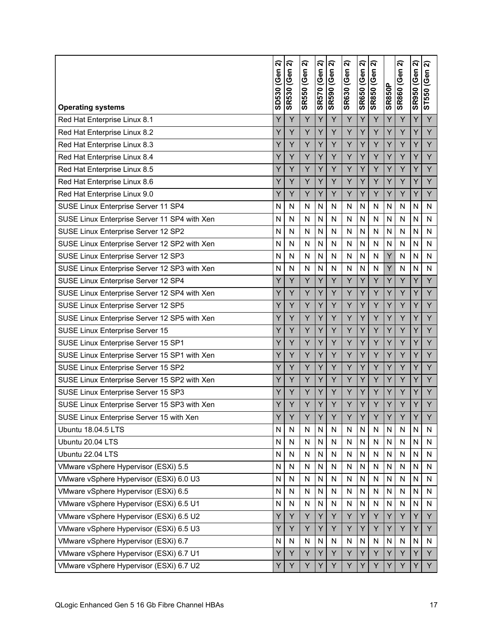| <b>Operating systems</b>                     | ส<br><b>SD530 (Gen</b> | ส<br><b>SR530 (Gen</b> | ล<br><b>SR550 (Gen</b> | ส<br>SR570 (Gen | ล<br><b>SR590 (Gen</b> | ล<br><b>SR630 (Gen</b> | ล<br><b>SR650 (Gen</b> | ส<br><b>SR850 (Gen</b> | <b>SR850P</b> | ล<br><b>SR860 (Gen</b> | ล<br><b>SR950 (Gen</b> | ন<br>(Gen<br>ST550 |
|----------------------------------------------|------------------------|------------------------|------------------------|-----------------|------------------------|------------------------|------------------------|------------------------|---------------|------------------------|------------------------|--------------------|
| Red Hat Enterprise Linux 8.1                 | Y                      | Y                      | Y                      | Y               | Ÿ                      | Ÿ                      | Y                      | Y                      | Y             | Y                      | Y                      | Y                  |
| Red Hat Enterprise Linux 8.2                 | Y                      | Y                      | Y                      | Y               | Υ                      | Y                      | Y                      | Y                      | Y             | Υ                      | Y                      | Y                  |
| Red Hat Enterprise Linux 8.3                 | Y                      | Y                      | Y                      | Y               | Y                      | Ÿ                      | Y                      | Y                      | Ý             | Y                      | Y                      | Y                  |
| Red Hat Enterprise Linux 8.4                 | Y                      | Y                      | Y                      | Y               | Y                      | Y                      | Y                      | Y                      | Y             | Y                      | Y                      | Y                  |
| Red Hat Enterprise Linux 8.5                 | Y                      | Y                      | Y                      | Υ               | Y                      | Y                      | Y                      | Y                      | Y             | Y                      | Y                      | Y                  |
| Red Hat Enterprise Linux 8.6                 | Y                      | Y                      | Y                      | Υ               | Y                      | Y                      | Y                      | Y                      | Y             | Y                      | Y                      | Y                  |
| Red Hat Enterprise Linux 9.0                 | Y                      | Y                      | Y                      | Y               | Y                      | Y                      | Υ                      | Y                      | Y             | Y                      | Y                      | Y                  |
| SUSE Linux Enterprise Server 11 SP4          | N                      | N                      | N                      | N               | N                      | N                      | N                      | N                      | N             | N                      | N                      | N                  |
| SUSE Linux Enterprise Server 11 SP4 with Xen | N                      | N                      | N                      | N               | N                      | N                      | N                      | N                      | N             | $\mathsf{N}$           | N                      | N                  |
| SUSE Linux Enterprise Server 12 SP2          | N                      | N                      | N                      | N               | N                      | N                      | N                      | N                      | N             | $\mathsf{N}$           | N                      | N                  |
| SUSE Linux Enterprise Server 12 SP2 with Xen | N                      | N                      | N                      | N               | N                      | N                      | N                      | N                      | N             | N                      | N                      | N                  |
| SUSE Linux Enterprise Server 12 SP3          | N                      | N                      | N                      | N               | N                      | N                      | N                      | $\mathsf{N}$           | Y             | N                      | N                      | N                  |
| SUSE Linux Enterprise Server 12 SP3 with Xen | N                      | N                      | N                      | N               | N                      | N                      | N                      | N                      | Y             | $\mathsf{N}$           | N                      | N                  |
| SUSE Linux Enterprise Server 12 SP4          | Y                      | Y                      | Y                      | Y               | Y                      | Y                      | Y                      | Y                      | Y             | Y                      | Y                      | Y                  |
| SUSE Linux Enterprise Server 12 SP4 with Xen | Y                      | Y                      | Y                      | Y               | Y                      | Y                      | Y                      | Y                      | Y             | Y                      | Y                      | Y                  |
| SUSE Linux Enterprise Server 12 SP5          | Υ                      | Y                      | Y                      | Υ               | Y                      | Y                      | Υ                      | Y                      | Y             | Y                      | Υ                      | Y                  |
| SUSE Linux Enterprise Server 12 SP5 with Xen | Y                      | Y                      | Y                      | Y               | Y                      | Ÿ                      | Y                      | Y                      | Y             | Y                      | Y                      | Y                  |
| SUSE Linux Enterprise Server 15              | Y                      | Y                      | Y                      | Y               | Υ                      | Y                      | Y                      | Y                      | Y             | Υ                      | Y                      | Y                  |
| SUSE Linux Enterprise Server 15 SP1          | Y                      | Y                      | Y                      | Y               | Y                      | Y                      | Y                      | Y                      | Y             | Y                      | Y                      | Y                  |
| SUSE Linux Enterprise Server 15 SP1 with Xen | Y                      | Y                      | Y                      | Υ               | Y                      | Y                      | Y                      | Y                      | Y             | Y                      | Y                      | Y                  |
| SUSE Linux Enterprise Server 15 SP2          | Y                      | Y                      | Y                      | Υ               | Y                      | Y                      | Y                      | Y                      | Y             | Y                      | Y                      | Y                  |
| SUSE Linux Enterprise Server 15 SP2 with Xen | Y                      | Y                      | Y                      | Y               | Y                      | Y                      | Y                      | Y                      | Y             | Y                      | Y                      | Y                  |
| SUSE Linux Enterprise Server 15 SP3          | Y                      | Y                      | Y                      | Υ               | Y                      | Y                      | Υ                      | Y                      | Y             | Y                      | Y                      | Y                  |
| SUSE Linux Enterprise Server 15 SP3 with Xen | Y                      | Y                      | Y                      | Y               | Y                      | Ÿ                      | Ÿ                      | Y                      | Ý             | Y                      | Ÿ                      | Y                  |
| SUSE Linux Enterprise Server 15 with Xen     | Υ                      | Y                      | Y                      | Y               | Y                      | Y                      | Y                      | Y                      | Y             | Y                      | Υ                      | Y                  |
| Ubuntu 18.04.5 LTS                           | N                      | N                      | N                      | ${\sf N}$       | N                      | N                      | N                      | $\mathsf{N}$           | N             | N                      | $\mathsf{N}$           | N                  |
| Ubuntu 20.04 LTS                             | N                      | ${\sf N}$              | N                      | ${\sf N}$       | Ν                      | ${\sf N}$              | N                      | ${\sf N}$              | N             | N                      | $\mathsf{N}$           | N                  |
| Ubuntu 22.04 LTS                             | N                      | N                      | N                      | ${\sf N}$       | $\mathsf{N}$           | $\mathsf{N}$           | N                      | $\mathsf{N}$           | N             | ${\sf N}$              | N                      | N                  |
| VMware vSphere Hypervisor (ESXi) 5.5         | N                      | $\mathsf{N}$           | N                      | $\mathsf{N}$    | N                      | $\mathsf{N}$           | N                      | $\mathsf{N}$           | N             | ${\sf N}$              | $\mathsf{N}$           | ${\sf N}$          |
| VMware vSphere Hypervisor (ESXi) 6.0 U3      | N                      | N                      | N                      | N               | N                      | N                      | Ν                      | N                      | N             | N                      | N                      | N                  |
| VMware vSphere Hypervisor (ESXi) 6.5         | N                      | N                      | N                      | N               | N                      | N                      | N                      | ${\sf N}$              | N             | ${\sf N}$              | $\mathsf{N}$           | N                  |
| VMware vSphere Hypervisor (ESXi) 6.5 U1      | N                      | N                      | N                      | N               | N                      | N                      | N                      | N                      | N             | N                      | N                      | N                  |
| VMware vSphere Hypervisor (ESXi) 6.5 U2      | Y                      | Y                      | Y                      | Υ               | Y                      | Y                      | Y                      | Y                      | Y             | Y                      | Y                      | Y                  |
| VMware vSphere Hypervisor (ESXi) 6.5 U3      | Υ                      | Y                      | Y                      | Υ               | Υ                      | Υ                      | Υ                      | Υ                      | Y             | Y                      | Y                      | Y                  |
| VMware vSphere Hypervisor (ESXi) 6.7         | N                      | N                      | N                      | N               | N                      | N                      | N                      | $\mathsf{N}$           | N             | ${\sf N}$              | $\mathsf{N}$           | N                  |
| VMware vSphere Hypervisor (ESXi) 6.7 U1      | Υ                      | Y                      | Y                      | Υ               | Y                      | Y                      | Y                      | Y                      | Y             | Y                      | Y                      | Y                  |
| VMware vSphere Hypervisor (ESXi) 6.7 U2      | Υ                      | Y                      | Y                      | Y               | Υ                      | Υ                      | Y                      | Y                      | Y             | Υ                      | Y                      | Y                  |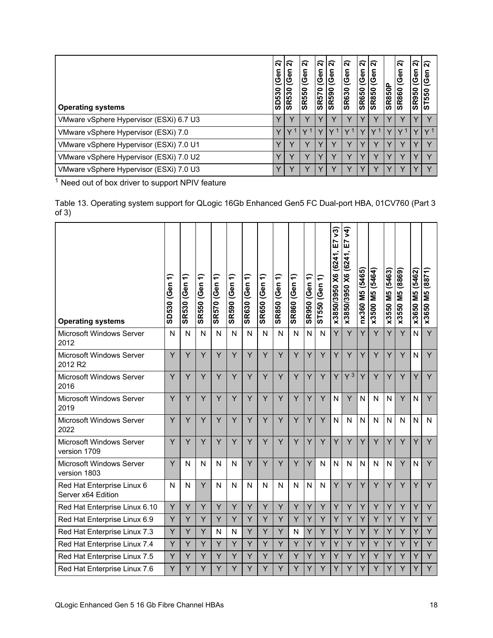<span id="page-17-0"></span>

| <b>Operating systems</b>                | ์จ<br>(Gen<br>SD530 | ส<br>(Gen<br><b>SR530</b> | ส<br>(Gen<br><b>SR550</b> | ์ส<br>(Gen<br><b>SR570</b> | ส<br>(Gen<br><b>SR590</b> | ส<br><b>Gen</b><br><b>SR630</b> | ส<br> <br>ပိ၏<br><b>SR650</b> | ์ล<br>Gen<br><b>SR850</b> | <b>SR850P</b> | ส<br>(Gen<br><b>SR860</b> | ส<br>ල<br>ල<br><b>SR950</b> | ์ล<br>ပိ<br>ST550 |
|-----------------------------------------|---------------------|---------------------------|---------------------------|----------------------------|---------------------------|---------------------------------|-------------------------------|---------------------------|---------------|---------------------------|-----------------------------|-------------------|
| VMware vSphere Hypervisor (ESXi) 6.7 U3 |                     |                           |                           |                            |                           |                                 |                               |                           |               |                           |                             |                   |
| VMware vSphere Hypervisor (ESXi) 7.0    |                     |                           |                           |                            |                           |                                 |                               |                           |               |                           |                             |                   |
| VMware vSphere Hypervisor (ESXi) 7.0 U1 |                     |                           |                           |                            |                           |                                 |                               |                           |               |                           |                             |                   |
| VMware vSphere Hypervisor (ESXi) 7.0 U2 |                     |                           |                           |                            |                           |                                 |                               |                           |               |                           |                             |                   |
| VMware vSphere Hypervisor (ESXi) 7.0 U3 |                     |                           |                           |                            |                           |                                 |                               |                           |               |                           |                             |                   |

Table 13. Operating system support for QLogic 16Gb Enhanced Gen5 FC Dual-port HBA, 01CV760 (Part 3 of 3)

| <b>Operating systems</b>                         | ╤<br>SD530 (Gen | ╤<br><b>SR530 (Gen</b> | ╤<br><b>SR550 (Gen</b> | ╤<br><b>SR570 (Gen</b> | ╤<br><b>SR590 (Gen</b> | ╤<br><b>SR630 (Gen</b> | ╤<br><b>SR650 (Gen</b> | ╤<br><b>SR850 (Gen</b> | ╤<br><b>SR860 (Gen</b> | $\ddot{ }$<br><b>SR950 (Gen</b> | ╤<br>ST550 (Gen | ନ୍ତି<br>E7<br>x3850/3950 X6 (6241 | $\widetilde{\mathcal{F}}$<br>E<br>x3850/3950 X6 (6241, | nx360 M5 (5465) | x3500 M5 (5464) | x3550 M5 (5463) | x3550 M5 (8869) | x3650 M5 (5462) | x3650 M5 (8871) |
|--------------------------------------------------|-----------------|------------------------|------------------------|------------------------|------------------------|------------------------|------------------------|------------------------|------------------------|---------------------------------|-----------------|-----------------------------------|--------------------------------------------------------|-----------------|-----------------|-----------------|-----------------|-----------------|-----------------|
| Microsoft Windows Server<br>2012                 | $\mathsf{N}$    | N                      | N                      | N                      | N                      | N                      | N                      | N                      | N                      | N                               | $\mathsf{N}$    | Y                                 | Y                                                      | Ÿ               | Y               | Y               | Y               | N               | Y               |
| Microsoft Windows Server<br>2012 R2              | Ÿ               | Y                      | Y                      | Y                      | Ÿ                      | Y                      | Y                      | Y                      | Y                      | Y                               | Y               | Y                                 | Y                                                      | Y               | Y               | Y               | Y               | N               | Y               |
| Microsoft Windows Server<br>2016                 | Ÿ               | Ÿ                      | Ÿ                      | Y                      | Y                      | Y                      | Y                      | Y                      | Y                      | Y                               | Y               | Y                                 | Y <sup>3</sup>                                         | Y               | Y               | Y               | Y               | Y               | Y               |
| Microsoft Windows Server<br>2019                 | Y               | Y                      | Y                      | Y                      | Y                      | Y                      | Y                      | Y                      | Y                      | Y                               | Y               | N                                 | Y                                                      | N               | N               | N               | Y               | N               | Y               |
| Microsoft Windows Server<br>2022                 | Ÿ               | Ÿ                      | Y                      | Y                      | Ÿ                      | Y                      | Ÿ                      | Y                      | Y                      | Y                               | Y               | N                                 | N                                                      | N               | N               | N               | N               | N               | N               |
| Microsoft Windows Server<br>version 1709         | Y               | Y                      | Y                      | Y                      | Y                      | Y                      | Y                      | Y                      | Y                      | Y                               | Y               | Y                                 | Y                                                      | Y               | Y               | Y               | Y               | Y               | Y               |
| Microsoft Windows Server<br>version 1803         | Y               | N                      | N                      | N                      | N                      | Y                      | Y                      | Y                      | Y                      | Y                               | N               | N                                 | $\mathsf{N}$                                           | N               | N               | N               | Y               | N               | Y               |
| Red Hat Enterprise Linux 6<br>Server x64 Edition | N               | N                      | Ÿ                      | N                      | N                      | N                      | N                      | N                      | N                      | N                               | $\mathsf{N}$    | Y                                 | Y                                                      | Y               | Y               | Y               | Y               | Y               | Y               |
| Red Hat Enterprise Linux 6.10                    | Υ               | Y                      | Y                      | Y                      | Y                      | Y                      | Y                      | Y                      | Y                      | Y                               | Y               | Y                                 | Y                                                      | Υ               | Y               | Y               | Y               | Y               | Y               |
| Red Hat Enterprise Linux 6.9                     | Ÿ               | Ÿ                      | Ÿ                      | Ÿ                      | Y                      | Ÿ                      | Y                      | Y                      | Y                      | Y                               | Y               | Y                                 | Y                                                      | Ÿ               | Y               | Ÿ               | Y               | Y               | Y               |
| Red Hat Enterprise Linux 7.3                     | Y               | Υ                      | Y                      | N                      | N                      | Y                      | Y                      | Y                      | N                      | Y                               | Y               | Y                                 | Y                                                      | Y               | Y               | Y               | Υ               | Y               | Y               |
| Red Hat Enterprise Linux 7.4                     | Υ               | Ÿ                      | Y                      | Υ                      | Y                      | Y                      | Y                      | Y                      | Y                      | Y                               | Y               | Y                                 | Y                                                      | Ÿ               | Y               | Y               | Y               | Y               | Y               |
| Red Hat Enterprise Linux 7.5                     | Y               | Ÿ                      | Ÿ                      | Y                      | Y                      | Y                      | Y                      | Y                      | Y                      | Y                               | Y               | Y                                 | Y                                                      | Y               | Y               | Y               | Y               | Y               | Ÿ               |
| Red Hat Enterprise Linux 7.6                     | Υ               | Y                      | Y                      | Y                      | Y                      | Y                      | Y                      | Y                      | Y                      | Y                               | Y               | Y                                 | Y                                                      | Y               | Y               | Υ               | Y               | Y               | Ÿ               |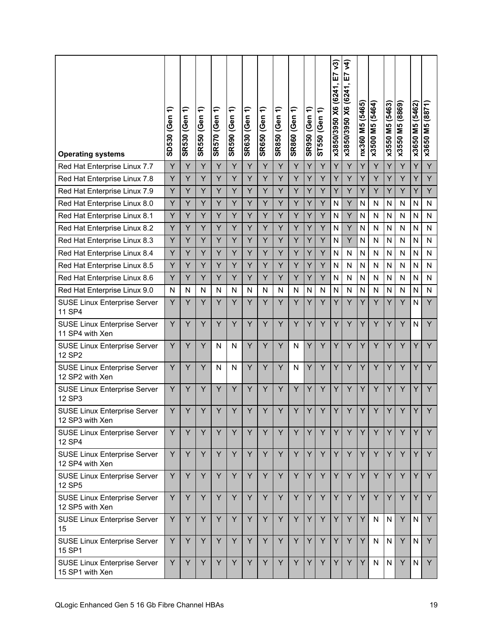| <b>Operating systems</b>                               | ╤<br>SD530 (Gen | ╤<br><b>SR530 (Gen</b> | ╤<br><b>SR550 (Gen</b> | ╤<br><b>SR570 (Gen</b> | ╤<br><b>SR590 (Gen</b> | ╤<br><b>SR630 (Gen</b> | ╤<br><b>SR650 (Gen</b> | ╤<br><b>SR850 (Gen</b> | ╤<br><b>SR860 (Gen</b> | SR950 (Gen 1) | ╤<br>ST550 (Gen | ୨3)<br>5<br>x3850/3950 X6 (6241, | λ4)<br>E7<br>x3850/3950 X6 (6241, | nx360 M5 (5465) | x3500 M5 (5464) | x3550 M5 (5463) | x3550 M5 (8869) | x3650 M5 (5462) | x3650 M5 (8871) |
|--------------------------------------------------------|-----------------|------------------------|------------------------|------------------------|------------------------|------------------------|------------------------|------------------------|------------------------|---------------|-----------------|----------------------------------|-----------------------------------|-----------------|-----------------|-----------------|-----------------|-----------------|-----------------|
| Red Hat Enterprise Linux 7.7                           | Y               | Y                      | Y                      | Y                      | Y                      | Y                      | Y                      | Y                      | Y                      | Y             | Y               | Y                                | Y                                 | Υ               | Y               | Y               | Y               | Y               | Y               |
| Red Hat Enterprise Linux 7.8                           | Y               | Y                      | Y                      | Y                      | Y                      | Y                      | Y                      | Y                      | Ÿ                      | Y             | Y               | Y                                | Y                                 | Y               | Y               | Y               | Y               | Y               | Y               |
| Red Hat Enterprise Linux 7.9                           | Y               | Y                      | Υ                      | Y                      | Υ                      | Υ                      | Υ                      | Y                      | Υ                      | Y             | Y               | Y                                | Y                                 | Υ               | Y               | Y               | Y               | Y               | Y               |
| Red Hat Enterprise Linux 8.0                           | Y               | Y                      | Y                      | Y                      | Y                      | Y                      | Ÿ                      | Y                      | Ÿ                      | Y             | Y               | N                                | Y                                 | N               | N               | N               | N               | N               | N               |
| Red Hat Enterprise Linux 8.1                           | Y               | Y                      | Y                      | Y                      | Y                      | Υ                      | Y                      | Y                      | Y                      | Y             | Υ               | N                                | Y                                 | N               | N               | N               | N               | N               | N               |
| Red Hat Enterprise Linux 8.2                           | Y               | Y                      | Y                      | Y                      | Υ                      | Υ                      | Υ                      | Y                      | Ÿ                      | Y             | Y               | N                                | Y                                 | N               | N               | N               | N               | N               | N               |
| Red Hat Enterprise Linux 8.3                           | Y               | Y                      | Y                      | Y                      | Y                      | Υ                      | Y                      | Y                      | Υ                      | Y             | Y               | N                                | Y                                 | N               | N               | N               | N               | N               | N               |
| Red Hat Enterprise Linux 8.4                           | Y               | Y                      | Y                      | Y                      | Y                      | Υ                      | Y                      | Y                      | Y                      | Y             | Y               | N                                | N                                 | N               | N               | N               | N               | N               | N               |
| Red Hat Enterprise Linux 8.5                           | Y               | Y                      | Y                      | Y                      | Ÿ                      | Y                      | Ÿ                      | Y                      | Ÿ                      | Y             | Y               | N                                | N                                 | N               | N               | N               | N               | N               | N               |
| Red Hat Enterprise Linux 8.6                           | Y               | Y                      | Y                      | Υ                      | Y                      | Υ                      | Y                      | Υ                      | Υ                      | Y             | Y               | N                                | N                                 | N               | N               | N               | N               | N               | N               |
| Red Hat Enterprise Linux 9.0                           | N               | N                      | N                      | N                      | N                      | N                      | N                      | N                      | N                      | N             | N               | N                                | N                                 | N               | N               | N               | N               | N               | N               |
| <b>SUSE Linux Enterprise Server</b><br>11 SP4          | Y               | Y                      | Y                      | Y                      | Y                      | Ÿ                      | Y                      | Ý                      | Ÿ                      | Y             | Y               | Y                                | Y                                 | Y               | Ÿ               | Y               | Y               | N               | Y               |
| <b>SUSE Linux Enterprise Server</b><br>11 SP4 with Xen | Y               | Y                      | Y                      | Y                      | Y                      | Y                      | Y                      | Y                      | Ÿ                      | Y             | Y               | Y                                | Y                                 | Ý               | Y               | Y               | Y               | N               | Y               |
| <b>SUSE Linux Enterprise Server</b><br>12 SP2          | Y               | Y                      | Y                      | N                      | N                      | Y                      | Y                      | Y                      | N                      | Y             | Y               | Y                                | Y                                 | Y               | Y               | Y               | Y               | Y               | Y               |
| <b>SUSE Linux Enterprise Server</b><br>12 SP2 with Xen | Y               | Y                      | Y                      | N                      | N                      | Y                      | Ÿ                      | Y                      | N                      | Y             | Y               | Y                                | Y                                 | Ý               | Y               | Y               | Y               | Y               | Y               |
| <b>SUSE Linux Enterprise Server</b><br>12 SP3          | Y               | Y                      | Y                      | Y                      | Y                      | Y                      | Y                      | Y                      | Ÿ                      | Y             | Y               | Y                                | Y                                 | Y               | Y               | Y               | Y               | Y               | Y               |
| <b>SUSE Linux Enterprise Server</b><br>12 SP3 with Xen | Y               | Y                      | Y                      | Y                      | Y                      | Y                      | Y                      | Y                      | Y                      | Y             | Y               | Y                                | Y                                 | Y               | Y               | Y               | Y               | Y               | Ÿ               |
| <b>SUSE Linux Enterprise Server</b><br>12 SP4          | Y               | Y                      | Y                      | Y                      | Y                      | Y                      | Y                      | Y                      | Y                      | Y             | Y               | Y.                               | Y                                 | Y               | Y               | Y               | Y               | Y               | Y               |
| <b>SUSE Linux Enterprise Server</b><br>12 SP4 with Xen | Y               | Y                      | Y                      | Y                      | Y                      | Y                      | Y                      | Y                      | Y                      | Y             | Y               | Y                                | Y                                 | Y               | Y               | Y               | Y               | Y               | Y               |
| <b>SUSE Linux Enterprise Server</b><br>12 SP5          | Y               | Y                      | Y                      | Y                      | Y                      | Y                      | Y                      | Y                      | Y                      | Y             | Y               | Y                                | Y                                 | Y               | Y               | Y               | Y               | Y               | Y               |
| <b>SUSE Linux Enterprise Server</b><br>12 SP5 with Xen | Y               | Y                      | Y                      | Y                      | Y                      | Y                      | Y                      | Y                      | Y                      | Y             | Y               | Y                                | Y                                 | Y               | Y               | Y               | Y               | Y               | Y               |
| <b>SUSE Linux Enterprise Server</b><br>15              | Y               | Y                      | Y                      | Y                      | Y                      | Y                      | Y                      | Y                      | Y                      | Y             | Y               | Y                                | Y                                 | Y               | N               | N               | Y               | N               | Y               |
| <b>SUSE Linux Enterprise Server</b><br>15 SP1          | Y               | Y                      | Y                      | Y                      | Y                      | Y                      | Y                      | Y                      | Y                      | Y             | Y               | Y                                | Y                                 | Y               | N               | N               | Y               | N               | Y               |
| <b>SUSE Linux Enterprise Server</b><br>15 SP1 with Xen | Y               | Y                      | Y                      | Y                      | Y                      | Y                      | Y                      | Y                      | Y                      | Υ             | Y               | Y.                               | Y                                 | Y               | $\mathsf{N}$    | N               | Y               | $\mathsf{N}$    | Y               |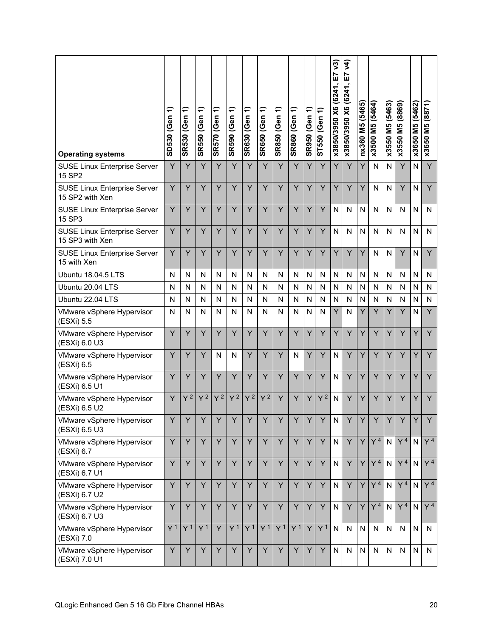| <b>Operating systems</b>                        | ╤<br>SD530 (Gen | ╤<br><b>SR530 (Gen</b> | SR550 (Gen 1)  | <b>SR570 (Gen 1)</b> | SR590 (Gen 1)  | ╤<br><b>SR630 (Gen</b> | SR650 (Gen 1)  | SR850 (Gen 1)  | SR860 (Gen 1)  | ╤<br><b>SR950 (Gen</b> | ST550 (Gen 1)  | 73)<br>E7<br>x3850/3950 X6 (6241 | र्<br><u>r</u><br>x3850/3950 X6 (6241, | nx360 M5 (5465) | x3500 M5 (5464) | x3550 M5 (5463) | x3550 M5 (8869) | x3650 M5 (5462) | M5 (8871)<br>x3650 |
|-------------------------------------------------|-----------------|------------------------|----------------|----------------------|----------------|------------------------|----------------|----------------|----------------|------------------------|----------------|----------------------------------|----------------------------------------|-----------------|-----------------|-----------------|-----------------|-----------------|--------------------|
| <b>SUSE Linux Enterprise Server</b><br>15 SP2   | Y               | Y                      | Y              | Y                    | Y              | Y                      | Y              | Y              | Y              | Υ                      | Y              | Ÿ                                | Y                                      | Y               | $\mathsf{N}$    | N               | Y               | N               | Y                  |
| SUSE Linux Enterprise Server<br>15 SP2 with Xen | Y               | Y                      | Y              | Y                    | Y              | Y                      | Y              | Y              | Y              | Υ                      | Y              | Y                                | Y                                      | Y               | $\mathsf{N}$    | N               | Y               | N               | Y                  |
| <b>SUSE Linux Enterprise Server</b><br>15 SP3   | Y               | Y                      | Y              | Υ                    | Y              | Y                      | Y              | Y              | Y              | Υ                      | Y              | $\mathsf{N}$                     | N                                      | N               | N               | N               | N               | N               | N                  |
| SUSE Linux Enterprise Server<br>15 SP3 with Xen | Y               | Y                      | Y              | Y                    | Y              | Y                      | Y              | Y              | Y              | Y                      | Y              | N                                | N                                      | N               | $\mathsf{N}$    | N               | $\mathsf{N}$    | N               | N                  |
| SUSE Linux Enterprise Server<br>15 with Xen     | Y               | Ÿ                      | Y              | Y                    | Y              | Y                      | Y              | Y              | Y              | Y                      | Y              | Y                                | Y                                      | Y               | $\mathsf{N}$    | N               | Y               | N               | Y                  |
| Ubuntu 18.04.5 LTS                              | N               | N                      | N              | N                    | N              | N                      | N              | N              | N              | N                      | N              | $\mathsf{N}$                     | N                                      | N               | N               | N               | N               | N               | N                  |
| Ubuntu 20.04 LTS                                | N               | N                      | N              | N                    | N              | N                      | N              | N              | N              | $\mathsf{N}$           | N              | N                                | N                                      | N               | N               | N               | N               | N               | N                  |
| Ubuntu 22.04 LTS                                | N               | N                      | N              | N                    | Ν              | N                      | N              | N              | N              | N                      | N              | N                                | N                                      | N               | N               | N               | N               | N               | N                  |
| VMware vSphere Hypervisor<br>(ESXi) 5.5         | N               | N                      | N              | N                    | Ν              | N                      | N              | N              | N              | $\mathsf{N}$           | N              | Y                                | N                                      | Y               | Y               | Y               | Y               | N               | Y                  |
| VMware vSphere Hypervisor<br>(ESXi) 6.0 U3      | Ÿ               | Ÿ                      | Y              | Y                    | Y              | Y                      | Y              | Y              | Y              | Y                      | Y              | Ÿ                                | Y                                      | Ÿ               | Y               | Y               | Y               | Y               | Y                  |
| VMware vSphere Hypervisor<br>(ESXi) 6.5         | Y               | Y                      | Y              | N                    | N              | Y                      | Y              | Y              | N              | Υ                      | Y              | N                                | Y                                      | Y               | Y               | Υ               | Y               | Y               | Y                  |
| VMware vSphere Hypervisor<br>(ESXi) 6.5 U1      | Y               | Ÿ                      | Y              | Y                    | Y              | Y                      | Y              | Y              | Y              | Y                      | Y              | N                                | Y                                      | Y               | Y               | Y               | Y               | Y               | Y                  |
| VMware vSphere Hypervisor<br>(ESXi) 6.5 U2      | Y               | $Y^2$                  | $Y^2$          | $Y^2$                | Y <sup>2</sup> | $Y^2$                  | $Y^2$          | Y              | Y              | Y                      | $Y^2$          | N                                | Y                                      | Y               | Y               | Y               | Y               | Y               | Y                  |
| VMware vSphere Hypervisor<br>(ESXi) 6.5 U3      | Y               | Y                      | Y              | Y                    | Y              | Y                      | Y              | Y              | Y              | Y                      | Y              | N                                | Y                                      | Y               | Y               | Y               | Y               |                 | Y                  |
| VMware vSphere Hypervisor<br>(ESXi) 6.7         | Y               | Υ                      | Y              | Y                    | Y              | Y                      | Y              | Y              | Y              | Y.                     | Y              | $\mathsf{N}$                     | Y                                      | Y               | Y <sup>4</sup>  | N               | Y <sup>4</sup>  | $\mathsf{N}$    | Y <sup>4</sup>     |
| VMware vSphere Hypervisor<br>(ESXi) 6.7 U1      | Y               | Y                      | Y              | Y                    | Y              | Y                      | Y              | Y              | Y              | Y                      | Y              | $\mathsf{N}$                     | Y                                      | Y               | Y <sup>4</sup>  | N               | Y <sup>4</sup>  | N               | Y <sup>4</sup>     |
| VMware vSphere Hypervisor<br>(ESXi) 6.7 U2      | Y               | Υ                      | Υ              | Y                    | Y              | Y                      | Y              | Y              | Y              | Υ                      | Y              | N                                | Y                                      | Y               | Y <sup>4</sup>  | $\mathsf{N}$    | Y <sup>4</sup>  | N               | Y <sup>4</sup>     |
| VMware vSphere Hypervisor<br>(ESXi) 6.7 U3      | Y               | Y                      | Y              | Y                    | Y              | Y                      | Y              | Y              | Y              | Y                      | Y              | $\mathsf{N}$                     | Y                                      | Y               | Y <sup>4</sup>  | N               | Y <sup>4</sup>  | N               | Y <sup>4</sup>     |
| VMware vSphere Hypervisor<br>(ESXi) 7.0         | Y <sup>1</sup>  | Y <sup>1</sup>         | Y <sup>1</sup> | Y                    | Y <sup>1</sup> | Y <sup>1</sup>         | Y <sup>1</sup> | Y <sup>1</sup> | Y <sup>1</sup> | Y.                     | Y <sup>1</sup> | $\mathsf{N}$                     | N                                      | ${\sf N}$       | N               | N               | N               | N               | N                  |
| VMware vSphere Hypervisor<br>(ESXi) 7.0 U1      | Y               | Y                      | Y              | Y                    | Y              | Y                      | Y              | Y              | Y              | Y                      | Y              | $\mathsf{N}$                     | N                                      | ${\sf N}$       | ${\sf N}$       | N               | ${\sf N}$       | $\mathsf{N}$    | N                  |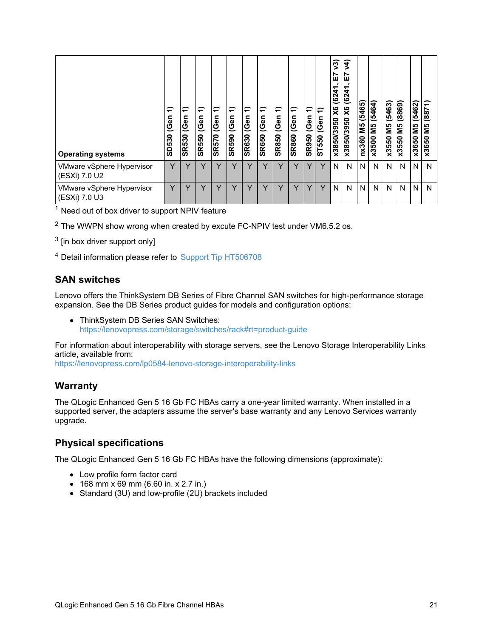| <b>Operating systems</b>                   | ╤<br>(Gen<br>SD530 | ╤<br>leen<br><b>SR530</b> | ⇐<br>(Gen<br><b>SR550</b> | ╤<br>leen<br><b>SR570</b> | €<br>Gen<br><b>SR590</b> | ╤<br>Gen<br><b>SR630</b> | ⇐<br>(Gen<br><b>SR650</b> | ╤<br>(Gen<br><b>SR850</b> | ុ<br>leen<br><b>SR860</b> | ₽<br>(Gen<br><b>SR950</b> | ∈<br>(Gen<br>ST550 | ν3)<br>ш<br>6241<br>$\times$<br>x3850/3950 | द्र<br>ÌШ<br>(6241)<br>$\overline{\mathsf{x}}$<br>0562/0582x | (5465)<br>ŠΜ<br>nx360 | (5464)<br>ΣМ<br>x3500 | (5463)<br>ΣM<br>x3550 | (8869)<br>Μ5<br>x3550 | (5462)<br>SIN<br>x3650 | (8871)<br>SM<br>x3650 |
|--------------------------------------------|--------------------|---------------------------|---------------------------|---------------------------|--------------------------|--------------------------|---------------------------|---------------------------|---------------------------|---------------------------|--------------------|--------------------------------------------|--------------------------------------------------------------|-----------------------|-----------------------|-----------------------|-----------------------|------------------------|-----------------------|
| VMware vSphere Hypervisor<br>(ESXi) 7.0 U2 | v                  | v                         | v                         | $\checkmark$              | v                        | v                        | $\checkmark$              | $\checkmark$              | v                         |                           | Y                  | N                                          | N                                                            | N.                    | N                     | N                     | N                     | N                      | N                     |
| VMware vSphere Hypervisor<br>(ESXi) 7.0 U3 | $\checkmark$       | $\checkmark$              | v                         | $\checkmark$              |                          |                          |                           | $\checkmark$              | v                         |                           | Y                  | N                                          | N                                                            | N.                    | N                     | N                     | N                     | N                      | N                     |

 $2$  The WWPN show wrong when created by excute FC-NPIV test under VM6.5.2 os.

 $^3$  [in box driver support only]

<sup>4</sup> Detail information please refer to Support Tip [HT506708](https://datacentersupport.lenovo.com/us/en/solutions/ht506708)

#### **SAN switches**

Lenovo offers the ThinkSystem DB Series of Fibre Channel SAN switches for high-performance storage expansion. See the DB Series product guides for models and configuration options:

• ThinkSystem DB Series SAN Switches: <https://lenovopress.com/storage/switches/rack#rt=product-guide>

For information about interoperability with storage servers, see the Lenovo Storage Interoperability Links article, available from:

<https://lenovopress.com/lp0584-lenovo-storage-interoperability-links>

#### **Warranty**

The QLogic Enhanced Gen 5 16 Gb FC HBAs carry a one-year limited warranty. When installed in a supported server, the adapters assume the server's base warranty and any Lenovo Services warranty upgrade.

#### **Physical specifications**

The QLogic Enhanced Gen 5 16 Gb FC HBAs have the following dimensions (approximate):

- Low profile form factor card
- 168 mm x 69 mm (6.60 in. x 2.7 in.)
- Standard (3U) and low-profile (2U) brackets included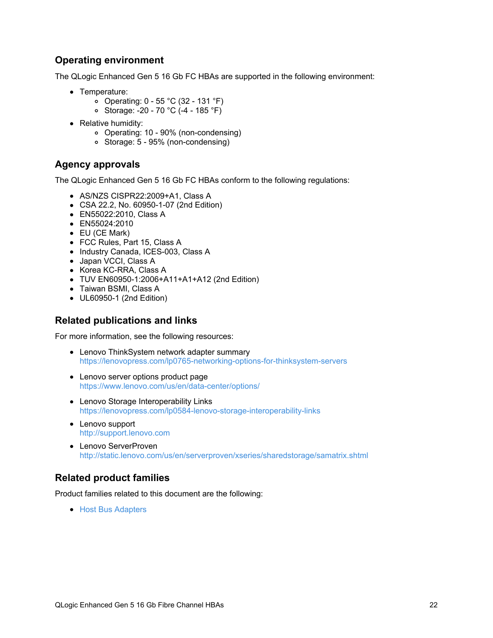## **Operating environment**

The QLogic Enhanced Gen 5 16 Gb FC HBAs are supported in the following environment:

- Temperature:
	- Operating: 0 55 °C (32 131 °F)
	- Storage: -20 70 °C (-4 185 °F)
- Relative humidity:
	- Operating: 10 90% (non-condensing)
	- Storage: 5 95% (non-condensing)

### **Agency approvals**

The QLogic Enhanced Gen 5 16 Gb FC HBAs conform to the following regulations:

- AS/NZS CISPR22:2009+A1, Class A
- CSA 22.2, No. 60950-1-07 (2nd Edition)
- EN55022:2010, Class A
- **EN55024:2010**
- EU (CE Mark)
- FCC Rules, Part 15, Class A
- Industry Canada, ICES-003, Class A
- Japan VCCI, Class A
- Korea KC-RRA, Class A
- TUV EN60950-1:2006+A11+A1+A12 (2nd Edition)
- Taiwan BSMI, Class A
- UL60950-1 (2nd Edition)

### **Related publications and links**

For more information, see the following resources:

- Lenovo ThinkSystem network adapter summary <https://lenovopress.com/lp0765-networking-options-for-thinksystem-servers>
- Lenovo server options product page <https://www.lenovo.com/us/en/data-center/options/>
- Lenovo Storage Interoperability Links <https://lenovopress.com/lp0584-lenovo-storage-interoperability-links>
- Lenovo support <http://support.lenovo.com>
- Lenovo ServerProven <http://static.lenovo.com/us/en/serverproven/xseries/sharedstorage/samatrix.shtml>

## **Related product families**

Product families related to this document are the following:

• Host Bus [Adapters](https://lenovopress.lenovo.com/servers/options/hba)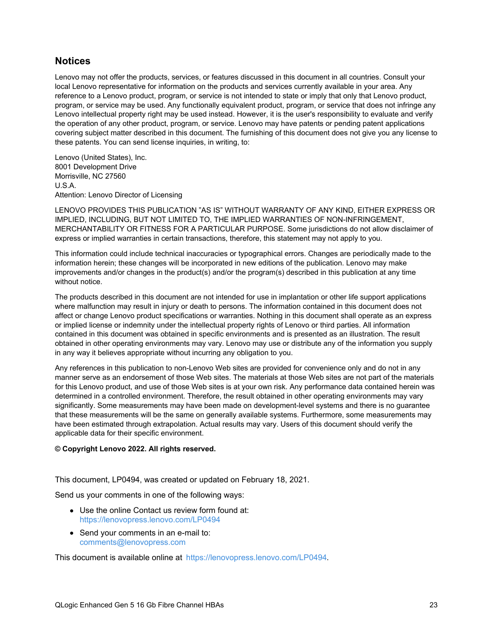### **Notices**

Lenovo may not offer the products, services, or features discussed in this document in all countries. Consult your local Lenovo representative for information on the products and services currently available in your area. Any reference to a Lenovo product, program, or service is not intended to state or imply that only that Lenovo product, program, or service may be used. Any functionally equivalent product, program, or service that does not infringe any Lenovo intellectual property right may be used instead. However, it is the user's responsibility to evaluate and verify the operation of any other product, program, or service. Lenovo may have patents or pending patent applications covering subject matter described in this document. The furnishing of this document does not give you any license to these patents. You can send license inquiries, in writing, to:

Lenovo (United States), Inc. 8001 Development Drive Morrisville, NC 27560 U.S.A. Attention: Lenovo Director of Licensing

LENOVO PROVIDES THIS PUBLICATION "AS IS" WITHOUT WARRANTY OF ANY KIND, EITHER EXPRESS OR IMPLIED, INCLUDING, BUT NOT LIMITED TO, THE IMPLIED WARRANTIES OF NON-INFRINGEMENT, MERCHANTABILITY OR FITNESS FOR A PARTICULAR PURPOSE. Some jurisdictions do not allow disclaimer of express or implied warranties in certain transactions, therefore, this statement may not apply to you.

This information could include technical inaccuracies or typographical errors. Changes are periodically made to the information herein; these changes will be incorporated in new editions of the publication. Lenovo may make improvements and/or changes in the product(s) and/or the program(s) described in this publication at any time without notice.

The products described in this document are not intended for use in implantation or other life support applications where malfunction may result in injury or death to persons. The information contained in this document does not affect or change Lenovo product specifications or warranties. Nothing in this document shall operate as an express or implied license or indemnity under the intellectual property rights of Lenovo or third parties. All information contained in this document was obtained in specific environments and is presented as an illustration. The result obtained in other operating environments may vary. Lenovo may use or distribute any of the information you supply in any way it believes appropriate without incurring any obligation to you.

Any references in this publication to non-Lenovo Web sites are provided for convenience only and do not in any manner serve as an endorsement of those Web sites. The materials at those Web sites are not part of the materials for this Lenovo product, and use of those Web sites is at your own risk. Any performance data contained herein was determined in a controlled environment. Therefore, the result obtained in other operating environments may vary significantly. Some measurements may have been made on development-level systems and there is no guarantee that these measurements will be the same on generally available systems. Furthermore, some measurements may have been estimated through extrapolation. Actual results may vary. Users of this document should verify the applicable data for their specific environment.

#### **© Copyright Lenovo 2022. All rights reserved.**

This document, LP0494, was created or updated on February 18, 2021.

Send us your comments in one of the following ways:

- Use the online Contact us review form found at: <https://lenovopress.lenovo.com/LP0494>
- Send your comments in an e-mail to: [comments@lenovopress.com](mailto:comments@lenovopress.com?subject=Feedback for LP0494)

This document is available online at <https://lenovopress.lenovo.com/LP0494>.